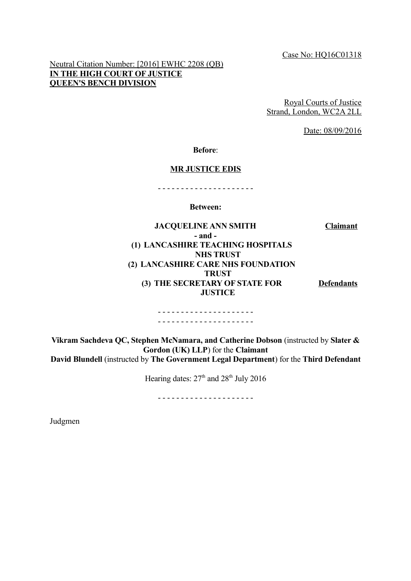Case No: HQ16C01318

Neutral Citation Number: [2016] EWHC 2208 (QB) **IN THE HIGH COURT OF JUSTICE QUEEN'S BENCH DIVISION** 

> Royal Courts of Justice Strand, London, WC2A 2LL

> > Date: 08/09/2016

**Before**:

#### **MR JUSTICE EDIS**

- - - - - - - - - - - - - - - - - - - - -

**Between:**

**JACQUELINE ANN SMITH Claimant - and - (1) LANCASHIRE TEACHING HOSPITALS NHS TRUST (2) LANCASHIRE CARE NHS FOUNDATION TRUST (3) THE SECRETARY OF STATE FOR JUSTICE**

**Defendants** 

- - - - - - - - - - - - - - - - - - - - - - - - - - - - - - - - - - - - - - - - - -

**Vikram Sachdeva QC, Stephen McNamara, and Catherine Dobson** (instructed by **Slater & Gordon (UK) LLP**) for the **Claimant David Blundell** (instructed by **The Government Legal Department**) for the **Third Defendant**

Hearing dates:  $27<sup>th</sup>$  and  $28<sup>th</sup>$  July 2016

- - - - - - - - - - - - - - - - - - - - -

Judgmen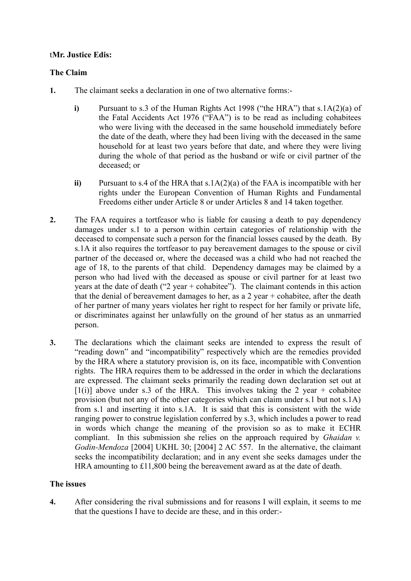# t**Mr. Justice Edis:**

# **The Claim**

- **1.** The claimant seeks a declaration in one of two alternative forms:
	- **i)** Pursuant to s.3 of the Human Rights Act 1998 ("the HRA") that s.1A(2)(a) of the Fatal Accidents Act 1976 ("FAA") is to be read as including cohabitees who were living with the deceased in the same household immediately before the date of the death, where they had been living with the deceased in the same household for at least two years before that date, and where they were living during the whole of that period as the husband or wife or civil partner of the deceased; or
	- **ii)** Pursuant to s.4 of the HRA that s.1A(2)(a) of the FAA is incompatible with her rights under the European Convention of Human Rights and Fundamental Freedoms either under Article 8 or under Articles 8 and 14 taken together.
- **2.** The FAA requires a tortfeasor who is liable for causing a death to pay dependency damages under s.1 to a person within certain categories of relationship with the deceased to compensate such a person for the financial losses caused by the death. By s.1A it also requires the tortfeasor to pay bereavement damages to the spouse or civil partner of the deceased or, where the deceased was a child who had not reached the age of 18, to the parents of that child. Dependency damages may be claimed by a person who had lived with the deceased as spouse or civil partner for at least two years at the date of death ("2 year + cohabitee"). The claimant contends in this action that the denial of bereavement damages to her, as a  $2$  year  $+$  cohabitee, after the death of her partner of many years violates her right to respect for her family or private life, or discriminates against her unlawfully on the ground of her status as an unmarried person.
- **3.** The declarations which the claimant seeks are intended to express the result of "reading down" and "incompatibility" respectively which are the remedies provided by the HRA where a statutory provision is, on its face, incompatible with Convention rights. The HRA requires them to be addressed in the order in which the declarations are expressed. The claimant seeks primarily the reading down declaration set out at [1(i)] above under s.3 of the HRA. This involves taking the 2 year + cohabitee provision (but not any of the other categories which can claim under s.1 but not s.1A) from s.1 and inserting it into s.1A. It is said that this is consistent with the wide ranging power to construe legislation conferred by s.3, which includes a power to read in words which change the meaning of the provision so as to make it ECHR compliant. In this submission she relies on the approach required by *Ghaidan v. Godin-Mendoza* [2004] UKHL 30; [2004] 2 AC 557. In the alternative, the claimant seeks the incompatibility declaration; and in any event she seeks damages under the HRA amounting to £11,800 being the bereavement award as at the date of death.

# **The issues**

**4.** After considering the rival submissions and for reasons I will explain, it seems to me that the questions I have to decide are these, and in this order:-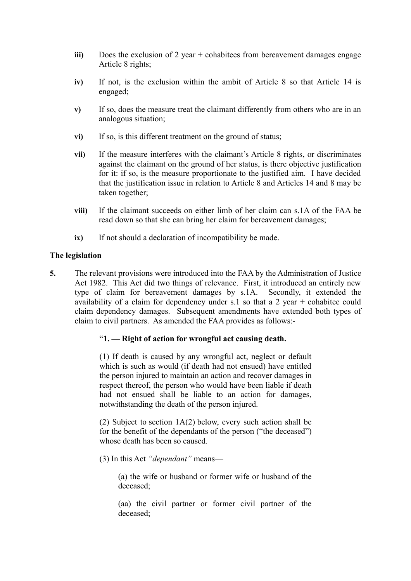- **iii)** Does the exclusion of 2 year + cohabitees from bereavement damages engage Article 8 rights;
- **iv)** If not, is the exclusion within the ambit of Article 8 so that Article 14 is engaged;
- **v)** If so, does the measure treat the claimant differently from others who are in an analogous situation;
- **vi)** If so, is this different treatment on the ground of status;
- **vii)** If the measure interferes with the claimant's Article 8 rights, or discriminates against the claimant on the ground of her status, is there objective justification for it: if so, is the measure proportionate to the justified aim. I have decided that the justification issue in relation to Article 8 and Articles 14 and 8 may be taken together;
- **viii)** If the claimant succeeds on either limb of her claim can s.1A of the FAA be read down so that she can bring her claim for bereavement damages;
- **ix)** If not should a declaration of incompatibility be made.

# **The legislation**

**5.** The relevant provisions were introduced into the FAA by the Administration of Justice Act 1982. This Act did two things of relevance. First, it introduced an entirely new type of claim for bereavement damages by s.1A. Secondly, it extended the availability of a claim for dependency under s.1 so that a 2 year + cohabitee could claim dependency damages. Subsequent amendments have extended both types of claim to civil partners. As amended the FAA provides as follows:-

# "**1. — Right of action for wrongful act causing death.**

(1) If death is caused by any wrongful act, neglect or default which is such as would (if death had not ensued) have entitled the person injured to maintain an action and recover damages in respect thereof, the person who would have been liable if death had not ensued shall be liable to an action for damages, notwithstanding the death of the person injured.

(2) Subject to section 1A(2) below, every such action shall be for the benefit of the dependants of the person ("the deceased") whose death has been so caused.

(3) In this Act *"dependant"* means—

(a) the wife or husband or former wife or husband of the deceased;

(aa) the civil partner or former civil partner of the deceased;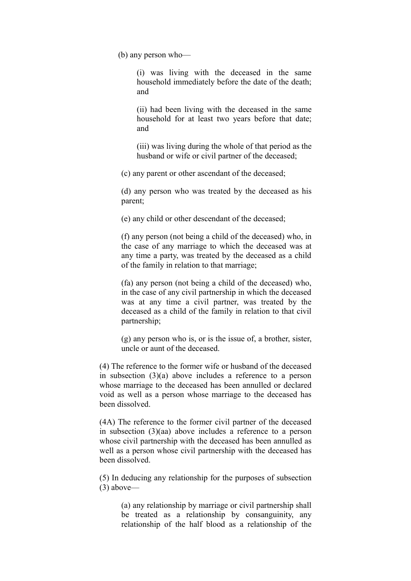(b) any person who—

(i) was living with the deceased in the same household immediately before the date of the death; and

(ii) had been living with the deceased in the same household for at least two years before that date; and

(iii) was living during the whole of that period as the husband or wife or civil partner of the deceased;

(c) any parent or other ascendant of the deceased;

(d) any person who was treated by the deceased as his parent;

(e) any child or other descendant of the deceased;

(f) any person (not being a child of the deceased) who, in the case of any marriage to which the deceased was at any time a party, was treated by the deceased as a child of the family in relation to that marriage;

(fa) any person (not being a child of the deceased) who, in the case of any civil partnership in which the deceased was at any time a civil partner, was treated by the deceased as a child of the family in relation to that civil partnership;

(g) any person who is, or is the issue of, a brother, sister, uncle or aunt of the deceased.

(4) The reference to the former wife or husband of the deceased in subsection (3)(a) above includes a reference to a person whose marriage to the deceased has been annulled or declared void as well as a person whose marriage to the deceased has been dissolved.

(4A) The reference to the former civil partner of the deceased in subsection (3)(aa) above includes a reference to a person whose civil partnership with the deceased has been annulled as well as a person whose civil partnership with the deceased has been dissolved.

(5) In deducing any relationship for the purposes of subsection (3) above—

(a) any relationship by marriage or civil partnership shall be treated as a relationship by consanguinity, any relationship of the half blood as a relationship of the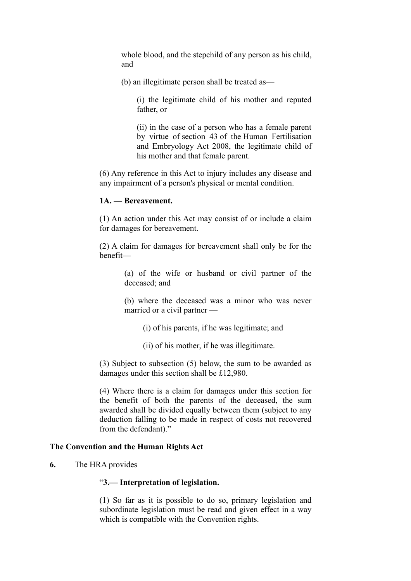whole blood, and the stepchild of any person as his child, and

(b) an illegitimate person shall be treated as—

(i) the legitimate child of his mother and reputed father, or

(ii) in the case of a person who has a female parent by virtue of section 43 of the Human Fertilisation and Embryology Act 2008, the legitimate child of his mother and that female parent.

(6) Any reference in this Act to injury includes any disease and any impairment of a person's physical or mental condition.

## **1A. — Bereavement.**

(1) An action under this Act may consist of or include a claim for damages for bereavement.

(2) A claim for damages for bereavement shall only be for the benefit—

> (a) of the wife or husband or civil partner of the deceased; and

> (b) where the deceased was a minor who was never married or a civil partner —

- (i) of his parents, if he was legitimate; and
- (ii) of his mother, if he was illegitimate.

(3) Subject to subsection (5) below, the sum to be awarded as damages under this section shall be £12,980.

(4) Where there is a claim for damages under this section for the benefit of both the parents of the deceased, the sum awarded shall be divided equally between them (subject to any deduction falling to be made in respect of costs not recovered from the defendant)."

#### **The Convention and the Human Rights Act**

**6.** The HRA provides

## "**3.— Interpretation of legislation.**

(1) So far as it is possible to do so, primary legislation and subordinate legislation must be read and given effect in a way which is compatible with the Convention rights.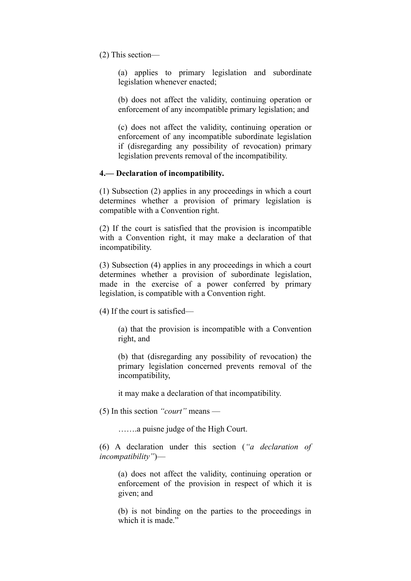(2) This section—

(a) applies to primary legislation and subordinate legislation whenever enacted;

(b) does not affect the validity, continuing operation or enforcement of any incompatible primary legislation; and

(c) does not affect the validity, continuing operation or enforcement of any incompatible subordinate legislation if (disregarding any possibility of revocation) primary legislation prevents removal of the incompatibility.

#### **4.— Declaration of incompatibility.**

(1) Subsection (2) applies in any proceedings in which a court determines whether a provision of primary legislation is compatible with a Convention right.

(2) If the court is satisfied that the provision is incompatible with a Convention right, it may make a declaration of that incompatibility.

(3) Subsection (4) applies in any proceedings in which a court determines whether a provision of subordinate legislation, made in the exercise of a power conferred by primary legislation, is compatible with a Convention right.

(4) If the court is satisfied—

(a) that the provision is incompatible with a Convention right, and

(b) that (disregarding any possibility of revocation) the primary legislation concerned prevents removal of the incompatibility,

it may make a declaration of that incompatibility.

(5) In this section *"court"* means —

…….a puisne judge of the High Court.

(6) A declaration under this section (*"a declaration of incompatibility"*)—

(a) does not affect the validity, continuing operation or enforcement of the provision in respect of which it is given; and

(b) is not binding on the parties to the proceedings in which it is made."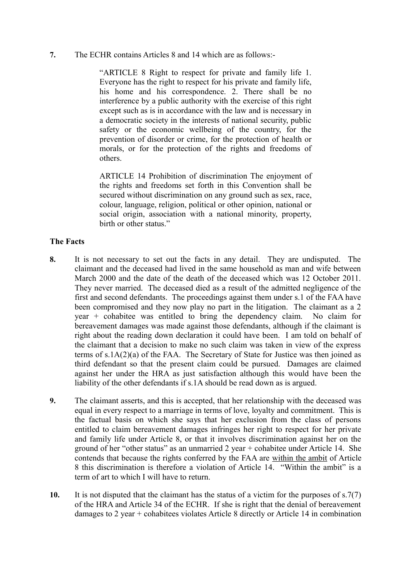**7.** The ECHR contains Articles 8 and 14 which are as follows:-

"ARTICLE 8 Right to respect for private and family life 1. Everyone has the right to respect for his private and family life, his home and his correspondence. 2. There shall be no interference by a public authority with the exercise of this right except such as is in accordance with the law and is necessary in a democratic society in the interests of national security, public safety or the economic wellbeing of the country, for the prevention of disorder or crime, for the protection of health or morals, or for the protection of the rights and freedoms of others.

ARTICLE 14 Prohibition of discrimination The enjoyment of the rights and freedoms set forth in this Convention shall be secured without discrimination on any ground such as sex, race, colour, language, religion, political or other opinion, national or social origin, association with a national minority, property, birth or other status."

# **The Facts**

- **8.** It is not necessary to set out the facts in any detail. They are undisputed. The claimant and the deceased had lived in the same household as man and wife between March 2000 and the date of the death of the deceased which was 12 October 2011. They never married. The deceased died as a result of the admitted negligence of the first and second defendants. The proceedings against them under s.1 of the FAA have been compromised and they now play no part in the litigation. The claimant as a 2 year + cohabitee was entitled to bring the dependency claim. No claim for bereavement damages was made against those defendants, although if the claimant is right about the reading down declaration it could have been. I am told on behalf of the claimant that a decision to make no such claim was taken in view of the express terms of s.1A(2)(a) of the FAA. The Secretary of State for Justice was then joined as third defendant so that the present claim could be pursued. Damages are claimed against her under the HRA as just satisfaction although this would have been the liability of the other defendants if s.1A should be read down as is argued.
- **9.** The claimant asserts, and this is accepted, that her relationship with the deceased was equal in every respect to a marriage in terms of love, loyalty and commitment. This is the factual basis on which she says that her exclusion from the class of persons entitled to claim bereavement damages infringes her right to respect for her private and family life under Article 8, or that it involves discrimination against her on the ground of her "other status" as an unmarried 2 year + cohabitee under Article 14. She contends that because the rights conferred by the FAA are within the ambit of Article 8 this discrimination is therefore a violation of Article 14. "Within the ambit" is a term of art to which I will have to return.
- **10.** It is not disputed that the claimant has the status of a victim for the purposes of s.7(7) of the HRA and Article 34 of the ECHR. If she is right that the denial of bereavement damages to 2 year + cohabitees violates Article 8 directly or Article 14 in combination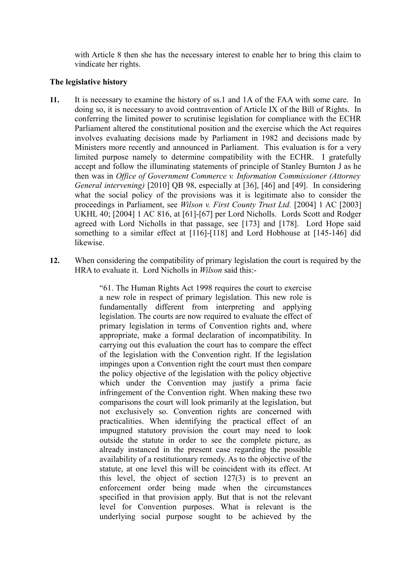with Article 8 then she has the necessary interest to enable her to bring this claim to vindicate her rights.

## **The legislative history**

- **11.** It is necessary to examine the history of ss.1 and 1A of the FAA with some care. In doing so, it is necessary to avoid contravention of Article IX of the Bill of Rights. In conferring the limited power to scrutinise legislation for compliance with the ECHR Parliament altered the constitutional position and the exercise which the Act requires involves evaluating decisions made by Parliament in 1982 and decisions made by Ministers more recently and announced in Parliament. This evaluation is for a very limited purpose namely to determine compatibility with the ECHR. I gratefully accept and follow the illuminating statements of principle of Stanley Burnton J as he then was in *Office of Government Commerce v. Information Commissioner (Attorney General intervening)* [2010] QB 98, especially at [36], [46] and [49]. In considering what the social policy of the provisions was it is legitimate also to consider the proceedings in Parliament, see *Wilson v. First County Trust Ltd.* [2004] 1 AC [2003] UKHL 40; [2004] 1 AC 816, at [61]-[67] per Lord Nicholls. Lords Scott and Rodger agreed with Lord Nicholls in that passage, see [173] and [178]. Lord Hope said something to a similar effect at [116]-[118] and Lord Hobhouse at [145-146] did likewise.
- **12.** When considering the compatibility of primary legislation the court is required by the HRA to evaluate it. Lord Nicholls in *Wilson* said this:-

"61. The Human Rights Act 1998 requires the court to exercise a new role in respect of primary legislation. This new role is fundamentally different from interpreting and applying legislation. The courts are now required to evaluate the effect of primary legislation in terms of Convention rights and, where appropriate, make a formal declaration of incompatibility. In carrying out this evaluation the court has to compare the effect of the legislation with the Convention right. If the legislation impinges upon a Convention right the court must then compare the policy objective of the legislation with the policy objective which under the Convention may justify a prima facie infringement of the Convention right. When making these two comparisons the court will look primarily at the legislation, but not exclusively so. Convention rights are concerned with practicalities. When identifying the practical effect of an impugned statutory provision the court may need to look outside the statute in order to see the complete picture, as already instanced in the present case regarding the possible availability of a restitutionary remedy. As to the objective of the statute, at one level this will be coincident with its effect. At this level, the object of section 127(3) is to prevent an enforcement order being made when the circumstances specified in that provision apply. But that is not the relevant level for Convention purposes. What is relevant is the underlying social purpose sought to be achieved by the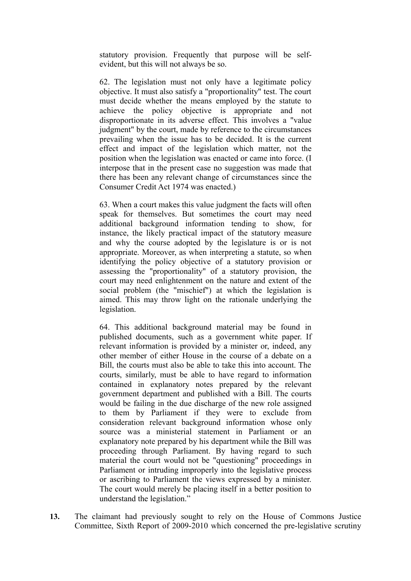statutory provision. Frequently that purpose will be selfevident, but this will not always be so.

62. The legislation must not only have a legitimate policy objective. It must also satisfy a "proportionality" test. The court must decide whether the means employed by the statute to achieve the policy objective is appropriate and not disproportionate in its adverse effect. This involves a "value judgment" by the court, made by reference to the circumstances prevailing when the issue has to be decided. It is the current effect and impact of the legislation which matter, not the position when the legislation was enacted or came into force. (I interpose that in the present case no suggestion was made that there has been any relevant change of circumstances since the Consumer Credit Act 1974 was enacted.)

63. When a court makes this value judgment the facts will often speak for themselves. But sometimes the court may need additional background information tending to show, for instance, the likely practical impact of the statutory measure and why the course adopted by the legislature is or is not appropriate. Moreover, as when interpreting a statute, so when identifying the policy objective of a statutory provision or assessing the "proportionality" of a statutory provision, the court may need enlightenment on the nature and extent of the social problem (the "mischief") at which the legislation is aimed. This may throw light on the rationale underlying the legislation.

64. This additional background material may be found in published documents, such as a government white paper. If relevant information is provided by a minister or, indeed, any other member of either House in the course of a debate on a Bill, the courts must also be able to take this into account. The courts, similarly, must be able to have regard to information contained in explanatory notes prepared by the relevant government department and published with a Bill. The courts would be failing in the due discharge of the new role assigned to them by Parliament if they were to exclude from consideration relevant background information whose only source was a ministerial statement in Parliament or an explanatory note prepared by his department while the Bill was proceeding through Parliament. By having regard to such material the court would not be "questioning" proceedings in Parliament or intruding improperly into the legislative process or ascribing to Parliament the views expressed by a minister. The court would merely be placing itself in a better position to understand the legislation."

**13.** The claimant had previously sought to rely on the House of Commons Justice Committee, Sixth Report of 2009-2010 which concerned the pre-legislative scrutiny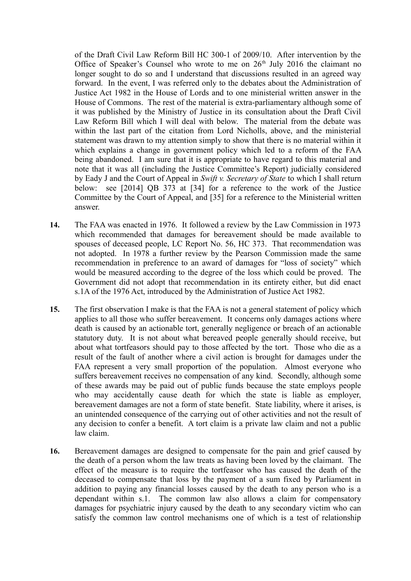of the Draft Civil Law Reform Bill HC 300-1 of 2009/10. After intervention by the Office of Speaker's Counsel who wrote to me on  $26<sup>th</sup>$  July 2016 the claimant no longer sought to do so and I understand that discussions resulted in an agreed way forward. In the event, I was referred only to the debates about the Administration of Justice Act 1982 in the House of Lords and to one ministerial written answer in the House of Commons. The rest of the material is extra-parliamentary although some of it was published by the Ministry of Justice in its consultation about the Draft Civil Law Reform Bill which I will deal with below. The material from the debate was within the last part of the citation from Lord Nicholls, above, and the ministerial statement was drawn to my attention simply to show that there is no material within it which explains a change in government policy which led to a reform of the FAA being abandoned. I am sure that it is appropriate to have regard to this material and note that it was all (including the Justice Committee's Report) judicially considered by Eady J and the Court of Appeal in *Swift v. Secretary of State* to which I shall return below: see [2014] QB 373 at [34] for a reference to the work of the Justice Committee by the Court of Appeal, and [35] for a reference to the Ministerial written answer.

- **14.** The FAA was enacted in 1976. It followed a review by the Law Commission in 1973 which recommended that damages for bereavement should be made available to spouses of deceased people, LC Report No. 56, HC 373. That recommendation was not adopted. In 1978 a further review by the Pearson Commission made the same recommendation in preference to an award of damages for "loss of society" which would be measured according to the degree of the loss which could be proved. The Government did not adopt that recommendation in its entirety either, but did enact s.1A of the 1976 Act, introduced by the Administration of Justice Act 1982.
- **15.** The first observation I make is that the FAA is not a general statement of policy which applies to all those who suffer bereavement. It concerns only damages actions where death is caused by an actionable tort, generally negligence or breach of an actionable statutory duty. It is not about what bereaved people generally should receive, but about what tortfeasors should pay to those affected by the tort. Those who die as a result of the fault of another where a civil action is brought for damages under the FAA represent a very small proportion of the population. Almost everyone who suffers bereavement receives no compensation of any kind. Secondly, although some of these awards may be paid out of public funds because the state employs people who may accidentally cause death for which the state is liable as employer, bereavement damages are not a form of state benefit. State liability, where it arises, is an unintended consequence of the carrying out of other activities and not the result of any decision to confer a benefit. A tort claim is a private law claim and not a public law claim.
- **16.** Bereavement damages are designed to compensate for the pain and grief caused by the death of a person whom the law treats as having been loved by the claimant. The effect of the measure is to require the tortfeasor who has caused the death of the deceased to compensate that loss by the payment of a sum fixed by Parliament in addition to paying any financial losses caused by the death to any person who is a dependant within s.1. The common law also allows a claim for compensatory damages for psychiatric injury caused by the death to any secondary victim who can satisfy the common law control mechanisms one of which is a test of relationship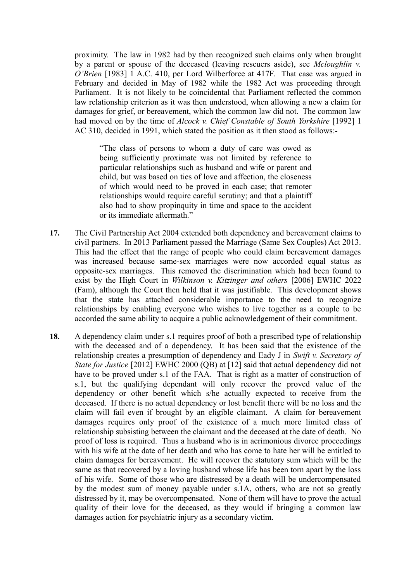proximity. The law in 1982 had by then recognized such claims only when brought by a parent or spouse of the deceased (leaving rescuers aside), see *Mcloughlin v. O'Brien* [1983] 1 A.C. 410, per Lord Wilberforce at 417F. That case was argued in February and decided in May of 1982 while the 1982 Act was proceeding through Parliament. It is not likely to be coincidental that Parliament reflected the common law relationship criterion as it was then understood, when allowing a new a claim for damages for grief, or bereavement, which the common law did not. The common law had moved on by the time of *Alcock v. Chief Constable of South Yorkshire* [1992] 1 AC 310, decided in 1991, which stated the position as it then stood as follows:-

"The class of persons to whom a duty of care was owed as being sufficiently proximate was not limited by reference to particular relationships such as husband and wife or parent and child, but was based on ties of love and affection, the closeness of which would need to be proved in each case; that remoter relationships would require careful scrutiny; and that a plaintiff also had to show propinquity in time and space to the accident or its immediate aftermath."

- **17.** The Civil Partnership Act 2004 extended both dependency and bereavement claims to civil partners. In 2013 Parliament passed the Marriage (Same Sex Couples) Act 2013. This had the effect that the range of people who could claim bereavement damages was increased because same-sex marriages were now accorded equal status as opposite-sex marriages. This removed the discrimination which had been found to exist by the High Court in *Wilkinson v. Kitzinger and others* [2006] EWHC 2022 (Fam), although the Court then held that it was justifiable. This development shows that the state has attached considerable importance to the need to recognize relationships by enabling everyone who wishes to live together as a couple to be accorded the same ability to acquire a public acknowledgement of their commitment.
- **18.** A dependency claim under s.1 requires proof of both a prescribed type of relationship with the deceased and of a dependency. It has been said that the existence of the relationship creates a presumption of dependency and Eady J in *Swift v. Secretary of State for Justice* [2012] EWHC 2000 (QB) at [12] said that actual dependency did not have to be proved under s.1 of the FAA. That is right as a matter of construction of s.1, but the qualifying dependant will only recover the proved value of the dependency or other benefit which s/he actually expected to receive from the deceased. If there is no actual dependency or lost benefit there will be no loss and the claim will fail even if brought by an eligible claimant. A claim for bereavement damages requires only proof of the existence of a much more limited class of relationship subsisting between the claimant and the deceased at the date of death. No proof of loss is required. Thus a husband who is in acrimonious divorce proceedings with his wife at the date of her death and who has come to hate her will be entitled to claim damages for bereavement. He will recover the statutory sum which will be the same as that recovered by a loving husband whose life has been torn apart by the loss of his wife. Some of those who are distressed by a death will be undercompensated by the modest sum of money payable under s.1A, others, who are not so greatly distressed by it, may be overcompensated. None of them will have to prove the actual quality of their love for the deceased, as they would if bringing a common law damages action for psychiatric injury as a secondary victim.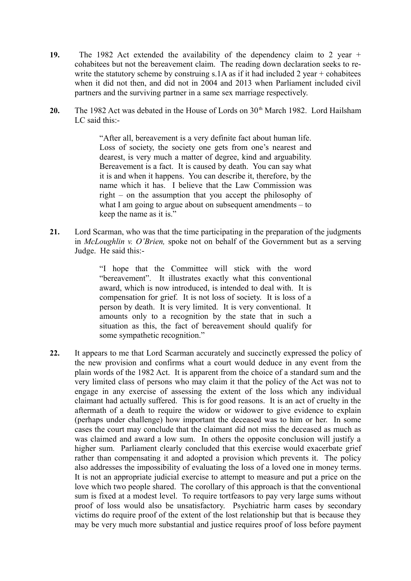- **19.** The 1982 Act extended the availability of the dependency claim to 2 year + cohabitees but not the bereavement claim. The reading down declaration seeks to rewrite the statutory scheme by construing s.1A as if it had included 2 year + cohabitees when it did not then, and did not in 2004 and 2013 when Parliament included civil partners and the surviving partner in a same sex marriage respectively.
- 20. The 1982 Act was debated in the House of Lords on 30<sup>th</sup> March 1982. Lord Hailsham LC said this:-

"After all, bereavement is a very definite fact about human life. Loss of society, the society one gets from one's nearest and dearest, is very much a matter of degree, kind and arguability. Bereavement is a fact. It is caused by death. You can say what it is and when it happens. You can describe it, therefore, by the name which it has. I believe that the Law Commission was right – on the assumption that you accept the philosophy of what I am going to argue about on subsequent amendments – to keep the name as it is."

**21.** Lord Scarman, who was that the time participating in the preparation of the judgments in *McLoughlin v. O'Brien,* spoke not on behalf of the Government but as a serving Judge. He said this:-

> "I hope that the Committee will stick with the word "bereavement". It illustrates exactly what this conventional award, which is now introduced, is intended to deal with. It is compensation for grief. It is not loss of society. It is loss of a person by death. It is very limited. It is very conventional. It amounts only to a recognition by the state that in such a situation as this, the fact of bereavement should qualify for some sympathetic recognition."

**22.** It appears to me that Lord Scarman accurately and succinctly expressed the policy of the new provision and confirms what a court would deduce in any event from the plain words of the 1982 Act. It is apparent from the choice of a standard sum and the very limited class of persons who may claim it that the policy of the Act was not to engage in any exercise of assessing the extent of the loss which any individual claimant had actually suffered. This is for good reasons. It is an act of cruelty in the aftermath of a death to require the widow or widower to give evidence to explain (perhaps under challenge) how important the deceased was to him or her. In some cases the court may conclude that the claimant did not miss the deceased as much as was claimed and award a low sum. In others the opposite conclusion will justify a higher sum. Parliament clearly concluded that this exercise would exacerbate grief rather than compensating it and adopted a provision which prevents it. The policy also addresses the impossibility of evaluating the loss of a loved one in money terms. It is not an appropriate judicial exercise to attempt to measure and put a price on the love which two people shared. The corollary of this approach is that the conventional sum is fixed at a modest level. To require tortfeasors to pay very large sums without proof of loss would also be unsatisfactory. Psychiatric harm cases by secondary victims do require proof of the extent of the lost relationship but that is because they may be very much more substantial and justice requires proof of loss before payment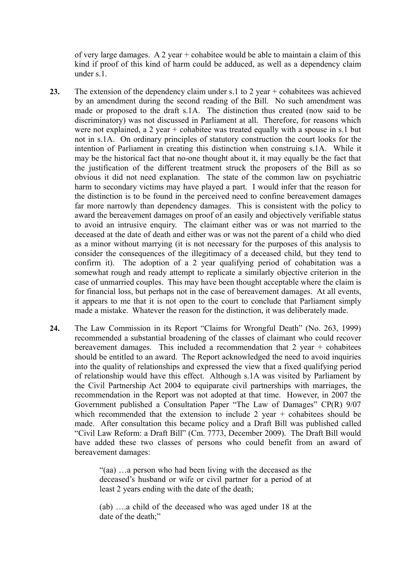of very large damages. A 2 year + cohabitee would be able to maintain a claim of this kind if proof of this kind of harm could be adduced, as well as a dependency claim under s.1.

- 23. The extension of the dependency claim under s.1 to 2 year + cohabitees was achieved by an amendment during the second reading of the Bill. No such amendment was made or proposed to the draft s.1A. The distinction thus created (now said to be discriminatory) was not discussed in Parliament at all. Therefore, for reasons which were not explained, a 2 year + cohabitee was treated equally with a spouse in s.1 but not in s.1A. On ordinary principles of statutory construction the court looks for the intention of Parliament in creating this distinction when construing s.1A. While it may be the historical fact that no-one thought about it, it may equally be the fact that the justification of the different treatment struck the proposers of the Bill as so obvious it did not need explanation. The state of the common law on psychiatric harm to secondary victims may have played a part. I would infer that the reason for the distinction is to be found in the perceived need to confine bereavement damages far more narrowly than dependency damages. This is consistent with the policy to award the bereavement damages on proof of an easily and objectively verifiable status to avoid an intrusive enquiry. The claimant either was or was not married to the deceased at the date of death and either was or was not the parent of a child who died as a minor without marrying (it is not necessary for the purposes of this analysis to consider the consequences of the illegitimacy of a deceased child, but they tend to confirm it). The adoption of a 2 year qualifying period of cohabitation was a somewhat rough and ready attempt to replicate a similarly objective criterion in the case of unmarried couples. This may have been thought acceptable where the claim is for financial loss, but perhaps not in the case of bereavement damages. At all events, it appears to me that it is not open to the court to conclude that Parliament simply made a mistake. Whatever the reason for the distinction, it was deliberately made.
- **24.** The Law Commission in its Report "Claims for Wrongful Death" (No. 263, 1999) recommended a substantial broadening of the classes of claimant who could recover bereavement damages. This included a recommendation that  $2$  year  $+$  cohabitees should be entitled to an award. The Report acknowledged the need to avoid inquiries into the quality of relationships and expressed the view that a fixed qualifying period of relationship would have this effect. Although s.1A was visited by Parliament by the Civil Partnership Act 2004 to equiparate civil partnerships with marriages, the recommendation in the Report was not adopted at that time. However, in 2007 the Government published a Consultation Paper "The Law of Damages" CP(R) 9/07 which recommended that the extension to include 2 year + cohabitees should be made. After consultation this became policy and a Draft Bill was published called "Civil Law Reform: a Draft Bill" (Cm. 7773, December 2009). The Draft Bill would have added these two classes of persons who could benefit from an award of bereavement damages:

"(aa) …a person who had been living with the deceased as the deceased's husband or wife or civil partner for a period of at least 2 years ending with the date of the death;

(ab) ….a child of the deceased who was aged under 18 at the date of the death;"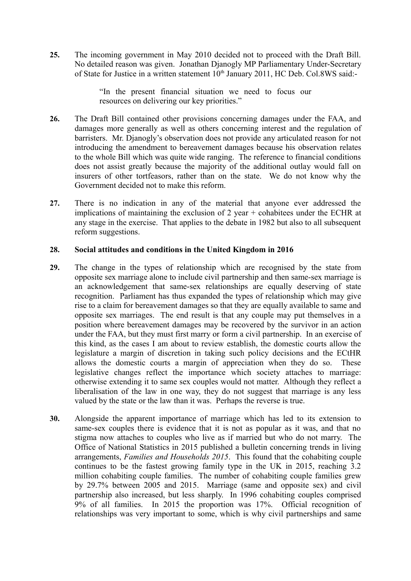**25.** The incoming government in May 2010 decided not to proceed with the Draft Bill. No detailed reason was given. Jonathan Djanogly MP Parliamentary Under-Secretary of State for Justice in a written statement  $10^{th}$  January 2011, HC Deb. Col.8WS said:-

> "In the present financial situation we need to focus our resources on delivering our key priorities."

- **26.** The Draft Bill contained other provisions concerning damages under the FAA, and damages more generally as well as others concerning interest and the regulation of barristers. Mr. Djanogly's observation does not provide any articulated reason for not introducing the amendment to bereavement damages because his observation relates to the whole Bill which was quite wide ranging. The reference to financial conditions does not assist greatly because the majority of the additional outlay would fall on insurers of other tortfeasors, rather than on the state. We do not know why the Government decided not to make this reform.
- **27.** There is no indication in any of the material that anyone ever addressed the implications of maintaining the exclusion of 2 year + cohabitees under the ECHR at any stage in the exercise. That applies to the debate in 1982 but also to all subsequent reform suggestions.

# **28. Social attitudes and conditions in the United Kingdom in 2016**

- **29.** The change in the types of relationship which are recognised by the state from opposite sex marriage alone to include civil partnership and then same-sex marriage is an acknowledgement that same-sex relationships are equally deserving of state recognition. Parliament has thus expanded the types of relationship which may give rise to a claim for bereavement damages so that they are equally available to same and opposite sex marriages. The end result is that any couple may put themselves in a position where bereavement damages may be recovered by the survivor in an action under the FAA, but they must first marry or form a civil partnership. In an exercise of this kind, as the cases I am about to review establish, the domestic courts allow the legislature a margin of discretion in taking such policy decisions and the ECtHR allows the domestic courts a margin of appreciation when they do so. These legislative changes reflect the importance which society attaches to marriage: otherwise extending it to same sex couples would not matter. Although they reflect a liberalisation of the law in one way, they do not suggest that marriage is any less valued by the state or the law than it was. Perhaps the reverse is true.
- **30.** Alongside the apparent importance of marriage which has led to its extension to same-sex couples there is evidence that it is not as popular as it was, and that no stigma now attaches to couples who live as if married but who do not marry. The Office of National Statistics in 2015 published a bulletin concerning trends in living arrangements, *Families and Households 2015*. This found that the cohabiting couple continues to be the fastest growing family type in the UK in 2015, reaching 3.2 million cohabiting couple families. The number of cohabiting couple families grew by 29.7% between 2005 and 2015. Marriage (same and opposite sex) and civil partnership also increased, but less sharply. In 1996 cohabiting couples comprised 9% of all families. In 2015 the proportion was 17%. Official recognition of relationships was very important to some, which is why civil partnerships and same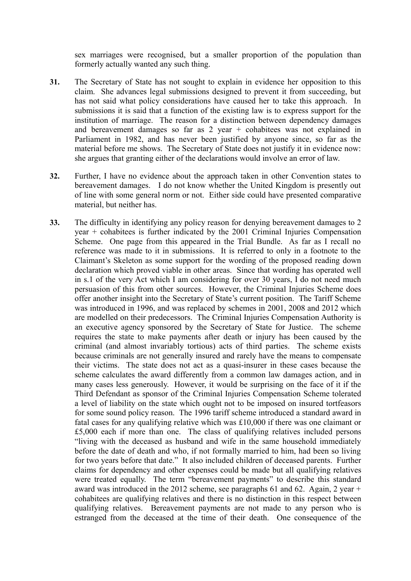sex marriages were recognised, but a smaller proportion of the population than formerly actually wanted any such thing.

- **31.** The Secretary of State has not sought to explain in evidence her opposition to this claim. She advances legal submissions designed to prevent it from succeeding, but has not said what policy considerations have caused her to take this approach. In submissions it is said that a function of the existing law is to express support for the institution of marriage. The reason for a distinction between dependency damages and bereavement damages so far as 2 year + cohabitees was not explained in Parliament in 1982, and has never been justified by anyone since, so far as the material before me shows. The Secretary of State does not justify it in evidence now: she argues that granting either of the declarations would involve an error of law.
- **32.** Further, I have no evidence about the approach taken in other Convention states to bereavement damages. I do not know whether the United Kingdom is presently out of line with some general norm or not. Either side could have presented comparative material, but neither has.
- **33.** The difficulty in identifying any policy reason for denying bereavement damages to 2 year + cohabitees is further indicated by the 2001 Criminal Injuries Compensation Scheme. One page from this appeared in the Trial Bundle. As far as I recall no reference was made to it in submissions. It is referred to only in a footnote to the Claimant's Skeleton as some support for the wording of the proposed reading down declaration which proved viable in other areas. Since that wording has operated well in s.1 of the very Act which I am considering for over 30 years, I do not need much persuasion of this from other sources. However, the Criminal Injuries Scheme does offer another insight into the Secretary of State's current position. The Tariff Scheme was introduced in 1996, and was replaced by schemes in 2001, 2008 and 2012 which are modelled on their predecessors. The Criminal Injuries Compensation Authority is an executive agency sponsored by the Secretary of State for Justice. The scheme requires the state to make payments after death or injury has been caused by the criminal (and almost invariably tortious) acts of third parties. The scheme exists because criminals are not generally insured and rarely have the means to compensate their victims. The state does not act as a quasi-insurer in these cases because the scheme calculates the award differently from a common law damages action, and in many cases less generously. However, it would be surprising on the face of it if the Third Defendant as sponsor of the Criminal Injuries Compensation Scheme tolerated a level of liability on the state which ought not to be imposed on insured tortfeasors for some sound policy reason. The 1996 tariff scheme introduced a standard award in fatal cases for any qualifying relative which was £10,000 if there was one claimant or £5,000 each if more than one. The class of qualifying relatives included persons "living with the deceased as husband and wife in the same household immediately before the date of death and who, if not formally married to him, had been so living for two years before that date." It also included children of deceased parents. Further claims for dependency and other expenses could be made but all qualifying relatives were treated equally. The term "bereavement payments" to describe this standard award was introduced in the 2012 scheme, see paragraphs 61 and 62. Again, 2 year + cohabitees are qualifying relatives and there is no distinction in this respect between qualifying relatives. Bereavement payments are not made to any person who is estranged from the deceased at the time of their death. One consequence of the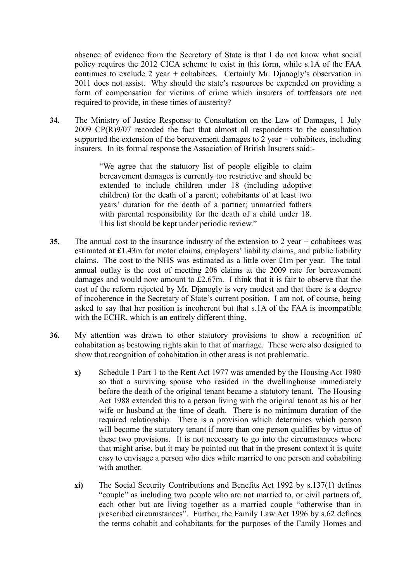absence of evidence from the Secretary of State is that I do not know what social policy requires the 2012 CICA scheme to exist in this form, while s.1A of the FAA continues to exclude 2 year + cohabitees. Certainly Mr. Djanogly's observation in 2011 does not assist. Why should the state's resources be expended on providing a form of compensation for victims of crime which insurers of tortfeasors are not required to provide, in these times of austerity?

**34.** The Ministry of Justice Response to Consultation on the Law of Damages, 1 July 2009 CP(R)9/07 recorded the fact that almost all respondents to the consultation supported the extension of the bereavement damages to  $2$  year  $+$  cohabitees, including insurers. In its formal response the Association of British Insurers said:-

> "We agree that the statutory list of people eligible to claim bereavement damages is currently too restrictive and should be extended to include children under 18 (including adoptive children) for the death of a parent; cohabitants of at least two years' duration for the death of a partner; unmarried fathers with parental responsibility for the death of a child under 18. This list should be kept under periodic review."

- **35.** The annual cost to the insurance industry of the extension to 2 year + cohabitees was estimated at £1.43m for motor claims, employers' liability claims, and public liability claims. The cost to the NHS was estimated as a little over £1m per year. The total annual outlay is the cost of meeting 206 claims at the 2009 rate for bereavement damages and would now amount to £2.67m. I think that it is fair to observe that the cost of the reform rejected by Mr. Djanogly is very modest and that there is a degree of incoherence in the Secretary of State's current position. I am not, of course, being asked to say that her position is incoherent but that s.1A of the FAA is incompatible with the ECHR, which is an entirely different thing.
- **36.** My attention was drawn to other statutory provisions to show a recognition of cohabitation as bestowing rights akin to that of marriage. These were also designed to show that recognition of cohabitation in other areas is not problematic.
	- **x)** Schedule 1 Part 1 to the Rent Act 1977 was amended by the Housing Act 1980 so that a surviving spouse who resided in the dwellinghouse immediately before the death of the original tenant became a statutory tenant. The Housing Act 1988 extended this to a person living with the original tenant as his or her wife or husband at the time of death. There is no minimum duration of the required relationship. There is a provision which determines which person will become the statutory tenant if more than one person qualifies by virtue of these two provisions. It is not necessary to go into the circumstances where that might arise, but it may be pointed out that in the present context it is quite easy to envisage a person who dies while married to one person and cohabiting with another.
	- **xi)** The Social Security Contributions and Benefits Act 1992 by s.137(1) defines "couple" as including two people who are not married to, or civil partners of, each other but are living together as a married couple "otherwise than in prescribed circumstances". Further, the Family Law Act 1996 by s.62 defines the terms cohabit and cohabitants for the purposes of the Family Homes and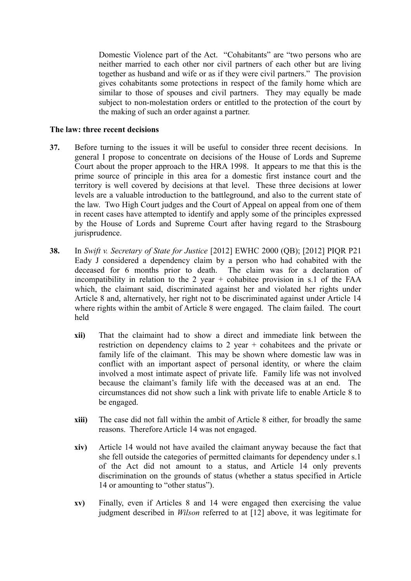Domestic Violence part of the Act. "Cohabitants" are "two persons who are neither married to each other nor civil partners of each other but are living together as husband and wife or as if they were civil partners." The provision gives cohabitants some protections in respect of the family home which are similar to those of spouses and civil partners. They may equally be made subject to non-molestation orders or entitled to the protection of the court by the making of such an order against a partner.

## **The law: three recent decisions**

- **37.** Before turning to the issues it will be useful to consider three recent decisions. In general I propose to concentrate on decisions of the House of Lords and Supreme Court about the proper approach to the HRA 1998. It appears to me that this is the prime source of principle in this area for a domestic first instance court and the territory is well covered by decisions at that level. These three decisions at lower levels are a valuable introduction to the battleground, and also to the current state of the law. Two High Court judges and the Court of Appeal on appeal from one of them in recent cases have attempted to identify and apply some of the principles expressed by the House of Lords and Supreme Court after having regard to the Strasbourg jurisprudence.
- **38.** In *Swift v. Secretary of State for Justice* [2012] EWHC 2000 (QB); [2012] PIQR P21 Eady J considered a dependency claim by a person who had cohabited with the deceased for 6 months prior to death. The claim was for a declaration of incompatibility in relation to the 2 year + cohabitee provision in s.1 of the FAA which, the claimant said, discriminated against her and violated her rights under Article 8 and, alternatively, her right not to be discriminated against under Article 14 where rights within the ambit of Article 8 were engaged. The claim failed. The court held
	- **xii)** That the claimaint had to show a direct and immediate link between the restriction on dependency claims to 2 year + cohabitees and the private or family life of the claimant. This may be shown where domestic law was in conflict with an important aspect of personal identity, or where the claim involved a most intimate aspect of private life. Family life was not involved because the claimant's family life with the deceased was at an end. The circumstances did not show such a link with private life to enable Article 8 to be engaged.
	- **xiii)** The case did not fall within the ambit of Article 8 either, for broadly the same reasons. Therefore Article 14 was not engaged.
	- **xiv)** Article 14 would not have availed the claimant anyway because the fact that she fell outside the categories of permitted claimants for dependency under s.1 of the Act did not amount to a status, and Article 14 only prevents discrimination on the grounds of status (whether a status specified in Article 14 or amounting to "other status").
	- **xv)** Finally, even if Articles 8 and 14 were engaged then exercising the value judgment described in *Wilson* referred to at [12] above, it was legitimate for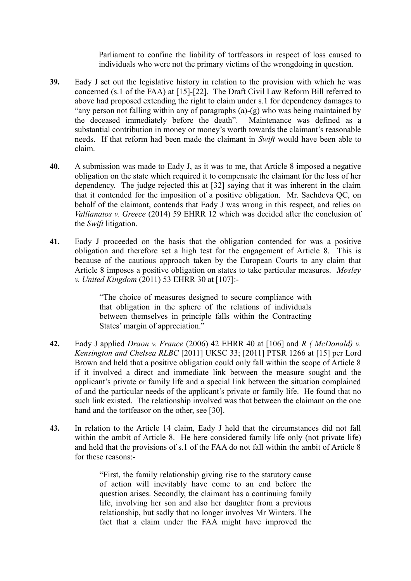Parliament to confine the liability of tortfeasors in respect of loss caused to individuals who were not the primary victims of the wrongdoing in question.

- **39.** Eady J set out the legislative history in relation to the provision with which he was concerned (s.1 of the FAA) at [15]-[22]. The Draft Civil Law Reform Bill referred to above had proposed extending the right to claim under s.1 for dependency damages to "any person not falling within any of paragraphs (a)-(g) who was being maintained by the deceased immediately before the death". Maintenance was defined as a substantial contribution in money or money's worth towards the claimant's reasonable needs. If that reform had been made the claimant in *Swift* would have been able to claim.
- **40.** A submission was made to Eady J, as it was to me, that Article 8 imposed a negative obligation on the state which required it to compensate the claimant for the loss of her dependency. The judge rejected this at [32] saying that it was inherent in the claim that it contended for the imposition of a positive obligation. Mr. Sachdeva QC, on behalf of the claimant, contends that Eady J was wrong in this respect, and relies on *Vallianatos v. Greece* (2014) 59 EHRR 12 which was decided after the conclusion of the *Swift* litigation.
- **41.** Eady J proceeded on the basis that the obligation contended for was a positive obligation and therefore set a high test for the engagement of Article 8. This is because of the cautious approach taken by the European Courts to any claim that Article 8 imposes a positive obligation on states to take particular measures. *Mosley v. United Kingdom* (2011) 53 EHRR 30 at [107]:-

"The choice of measures designed to secure compliance with that obligation in the sphere of the relations of individuals between themselves in principle falls within the Contracting States' margin of appreciation."

- **42.** Eady J applied *Draon v. France* (2006) 42 EHRR 40 at [106] and *R ( McDonald) v. Kensington and Chelsea RLBC* [2011] UKSC 33; [2011] PTSR 1266 at [15] per Lord Brown and held that a positive obligation could only fall within the scope of Article 8 if it involved a direct and immediate link between the measure sought and the applicant's private or family life and a special link between the situation complained of and the particular needs of the applicant's private or family life. He found that no such link existed. The relationship involved was that between the claimant on the one hand and the tortfeasor on the other, see [30].
- **43.** In relation to the Article 14 claim, Eady J held that the circumstances did not fall within the ambit of Article 8. He here considered family life only (not private life) and held that the provisions of s.1 of the FAA do not fall within the ambit of Article 8 for these reasons:-

"First, the family relationship giving rise to the statutory cause of action will inevitably have come to an end before the question arises. Secondly, the claimant has a continuing family life, involving her son and also her daughter from a previous relationship, but sadly that no longer involves Mr Winters. The fact that a claim under the FAA might have improved the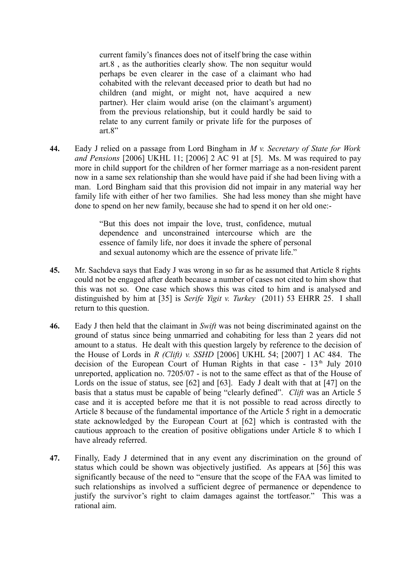current family's finances does not of itself bring the case within art.8 , as the authorities clearly show. The non sequitur would perhaps be even clearer in the case of a claimant who had cohabited with the relevant deceased prior to death but had no children (and might, or might not, have acquired a new partner). Her claim would arise (on the claimant's argument) from the previous relationship, but it could hardly be said to relate to any current family or private life for the purposes of art.8"

**44.** Eady J relied on a passage from Lord Bingham in *M v. Secretary of State for Work and Pensions* [2006] UKHL 11; [2006] 2 AC 91 at [5]. Ms. M was required to pay more in child support for the children of her former marriage as a non-resident parent now in a same sex relationship than she would have paid if she had been living with a man. Lord Bingham said that this provision did not impair in any material way her family life with either of her two families. She had less money than she might have done to spend on her new family, because she had to spend it on her old one:-

> "But this does not impair the love, trust, confidence, mutual dependence and unconstrained intercourse which are the essence of family life, nor does it invade the sphere of personal and sexual autonomy which are the essence of private life."

- **45.** Mr. Sachdeva says that Eady J was wrong in so far as he assumed that Article 8 rights could not be engaged after death because a number of cases not cited to him show that this was not so. One case which shows this was cited to him and is analysed and distinguished by him at [35] is *Serife Yigit v. Turkey* (2011) 53 EHRR 25. I shall return to this question.
- **46.** Eady J then held that the claimant in *Swift* was not being discriminated against on the ground of status since being unmarried and cohabiting for less than 2 years did not amount to a status. He dealt with this question largely by reference to the decision of the House of Lords in *R (Clift) v. SSHD* [2006] UKHL 54; [2007] 1 AC 484. The decision of the European Court of Human Rights in that case  $-13<sup>th</sup>$  July 2010 unreported, application no. 7205/07 - is not to the same effect as that of the House of Lords on the issue of status, see [62] and [63]. Eady J dealt with that at [47] on the basis that a status must be capable of being "clearly defined". *Clift* was an Article 5 case and it is accepted before me that it is not possible to read across directly to Article 8 because of the fundamental importance of the Article 5 right in a democratic state acknowledged by the European Court at [62] which is contrasted with the cautious approach to the creation of positive obligations under Article 8 to which I have already referred.
- **47.** Finally, Eady J determined that in any event any discrimination on the ground of status which could be shown was objectively justified. As appears at [56] this was significantly because of the need to "ensure that the scope of the FAA was limited to such relationships as involved a sufficient degree of permanence or dependence to justify the survivor's right to claim damages against the tortfeasor." This was a rational aim.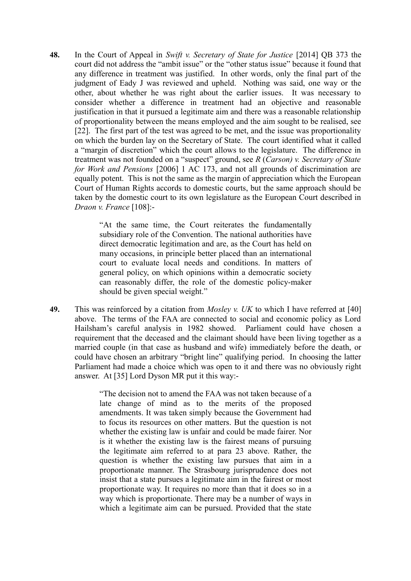**48.** In the Court of Appeal in *Swift v. Secretary of State for Justice* [2014] QB 373 the court did not address the "ambit issue" or the "other status issue" because it found that any difference in treatment was justified. In other words, only the final part of the judgment of Eady J was reviewed and upheld. Nothing was said, one way or the other, about whether he was right about the earlier issues. It was necessary to consider whether a difference in treatment had an objective and reasonable justification in that it pursued a legitimate aim and there was a reasonable relationship of proportionality between the means employed and the aim sought to be realised, see [22]. The first part of the test was agreed to be met, and the issue was proportionality on which the burden lay on the Secretary of State. The court identified what it called a "margin of discretion" which the court allows to the legislature. The difference in treatment was not founded on a "suspect" ground, see *R* (*Carson) v. Secretary of State for Work and Pensions* [2006] 1 AC 173, and not all grounds of discrimination are equally potent. This is not the same as the margin of appreciation which the European Court of Human Rights accords to domestic courts, but the same approach should be taken by the domestic court to its own legislature as the European Court described in *Draon v. France* [108]:-

> "At the same time, the Court reiterates the fundamentally subsidiary role of the Convention. The national authorities have direct democratic legitimation and are, as the Court has held on many occasions, in principle better placed than an international court to evaluate local needs and conditions. In matters of general policy, on which opinions within a democratic society can reasonably differ, the role of the domestic policy-maker should be given special weight."

**49.** This was reinforced by a citation from *Mosley v. UK* to which I have referred at [40] above. The terms of the FAA are connected to social and economic policy as Lord Hailsham's careful analysis in 1982 showed. Parliament could have chosen a requirement that the deceased and the claimant should have been living together as a married couple (in that case as husband and wife) immediately before the death, or could have chosen an arbitrary "bright line" qualifying period. In choosing the latter Parliament had made a choice which was open to it and there was no obviously right answer. At [35] Lord Dyson MR put it this way:-

> "The decision not to amend the FAA was not taken because of a late change of mind as to the merits of the proposed amendments. It was taken simply because the Government had to focus its resources on other matters. But the question is not whether the existing law is unfair and could be made fairer. Nor is it whether the existing law is the fairest means of pursuing the legitimate aim referred to at para 23 above. Rather, the question is whether the existing law pursues that aim in a proportionate manner. The Strasbourg jurisprudence does not insist that a state pursues a legitimate aim in the fairest or most proportionate way. It requires no more than that it does so in a way which is proportionate. There may be a number of ways in which a legitimate aim can be pursued. Provided that the state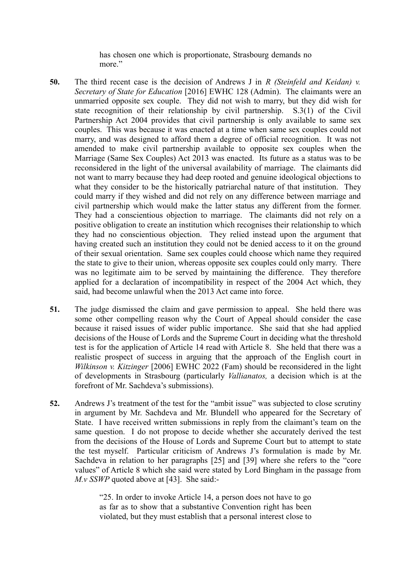has chosen one which is proportionate, Strasbourg demands no more"

- **50.** The third recent case is the decision of Andrews J in *R (Steinfeld and Keidan) v. Secretary of State for Education* [2016] EWHC 128 (Admin). The claimants were an unmarried opposite sex couple. They did not wish to marry, but they did wish for state recognition of their relationship by civil partnership. S.3(1) of the Civil Partnership Act 2004 provides that civil partnership is only available to same sex couples. This was because it was enacted at a time when same sex couples could not marry, and was designed to afford them a degree of official recognition. It was not amended to make civil partnership available to opposite sex couples when the Marriage (Same Sex Couples) Act 2013 was enacted. Its future as a status was to be reconsidered in the light of the universal availability of marriage. The claimants did not want to marry because they had deep rooted and genuine ideological objections to what they consider to be the historically patriarchal nature of that institution. They could marry if they wished and did not rely on any difference between marriage and civil partnership which would make the latter status any different from the former. They had a conscientious objection to marriage. The claimants did not rely on a positive obligation to create an institution which recognises their relationship to which they had no conscientious objection. They relied instead upon the argument that having created such an institution they could not be denied access to it on the ground of their sexual orientation. Same sex couples could choose which name they required the state to give to their union, whereas opposite sex couples could only marry. There was no legitimate aim to be served by maintaining the difference. They therefore applied for a declaration of incompatibility in respect of the 2004 Act which, they said, had become unlawful when the 2013 Act came into force.
- **51.** The judge dismissed the claim and gave permission to appeal. She held there was some other compelling reason why the Court of Appeal should consider the case because it raised issues of wider public importance. She said that she had applied decisions of the House of Lords and the Supreme Court in deciding what the threshold test is for the application of Article 14 read with Article 8. She held that there was a realistic prospect of success in arguing that the approach of the English court in *Wilkinson v. Kitzinger* [2006] EWHC 2022 (Fam) should be reconsidered in the light of developments in Strasbourg (particularly *Vallianatos,* a decision which is at the forefront of Mr. Sachdeva's submissions).
- **52.** Andrews J's treatment of the test for the "ambit issue" was subjected to close scrutiny in argument by Mr. Sachdeva and Mr. Blundell who appeared for the Secretary of State. I have received written submissions in reply from the claimant's team on the same question. I do not propose to decide whether she accurately derived the test from the decisions of the House of Lords and Supreme Court but to attempt to state the test myself. Particular criticism of Andrews J's formulation is made by Mr. Sachdeva in relation to her paragraphs [25] and [39] where she refers to the "core values" of Article 8 which she said were stated by Lord Bingham in the passage from *M.v SSWP* quoted above at [43]. She said:-

"25. In order to invoke Article 14, a person does not have to go as far as to show that a substantive Convention right has been violated, but they must establish that a personal interest close to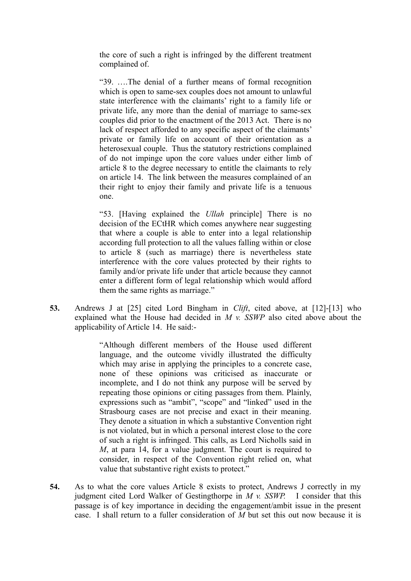the core of such a right is infringed by the different treatment complained of.

"39. ….The denial of a further means of formal recognition which is open to same-sex couples does not amount to unlawful state interference with the claimants' right to a family life or private life, any more than the denial of marriage to same-sex couples did prior to the enactment of the 2013 Act. There is no lack of respect afforded to any specific aspect of the claimants' private or family life on account of their orientation as a heterosexual couple. Thus the statutory restrictions complained of do not impinge upon the core values under either limb of article 8 to the degree necessary to entitle the claimants to rely on article 14. The link between the measures complained of an their right to enjoy their family and private life is a tenuous one.

"53. [Having explained the *Ullah* principle] There is no decision of the ECtHR which comes anywhere near suggesting that where a couple is able to enter into a legal relationship according full protection to all the values falling within or close to article 8 (such as marriage) there is nevertheless state interference with the core values protected by their rights to family and/or private life under that article because they cannot enter a different form of legal relationship which would afford them the same rights as marriage."

**53.** Andrews J at [25] cited Lord Bingham in *Clift*, cited above, at [12]-[13] who explained what the House had decided in *M v. SSWP* also cited above about the applicability of Article 14. He said:-

> "Although different members of the House used different language, and the outcome vividly illustrated the difficulty which may arise in applying the principles to a concrete case, none of these opinions was criticised as inaccurate or incomplete, and I do not think any purpose will be served by repeating those opinions or citing passages from them. Plainly, expressions such as "ambit", "scope" and "linked" used in the Strasbourg cases are not precise and exact in their meaning. They denote a situation in which a substantive Convention right is not violated, but in which a personal interest close to the core of such a right is infringed. This calls, as Lord Nicholls said in *M*, at para 14, for a value judgment. The court is required to consider, in respect of the Convention right relied on, what value that substantive right exists to protect."

**54.** As to what the core values Article 8 exists to protect, Andrews J correctly in my judgment cited Lord Walker of Gestingthorpe in *M v. SSWP.* I consider that this passage is of key importance in deciding the engagement/ambit issue in the present case. I shall return to a fuller consideration of *M* but set this out now because it is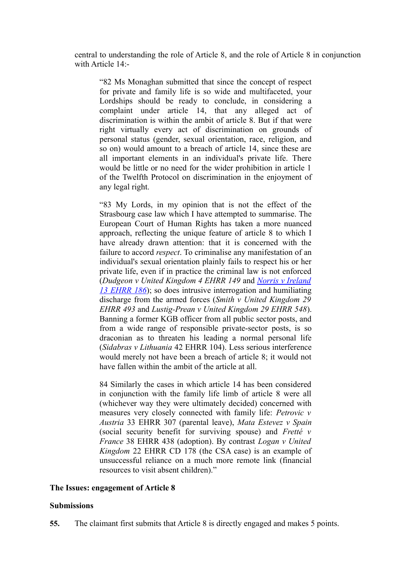central to understanding the role of Article 8, and the role of Article 8 in conjunction with Article 14:-

"82 Ms Monaghan submitted that since the concept of respect for private and family life is so wide and multifaceted, your Lordships should be ready to conclude, in considering a complaint under article 14, that any alleged act of discrimination is within the ambit of article 8. But if that were right virtually every act of discrimination on grounds of personal status (gender, sexual orientation, race, religion, and so on) would amount to a breach of article 14, since these are all important elements in an individual's private life. There would be little or no need for the wider prohibition in article 1 of the Twelfth Protocol on discrimination in the enjoyment of any legal right.

"83 My Lords, in my opinion that is not the effect of the Strasbourg case law which I have attempted to summarise. The European Court of Human Rights has taken a more nuanced approach, reflecting the unique feature of article 8 to which I have already drawn attention: that it is concerned with the failure to accord *respect*. To criminalise any manifestation of an individual's sexual orientation plainly fails to respect his or her private life, even if in practice the criminal law is not enforced (*Dudgeon v United Kingdom 4 EHRR 149* and *[Norris v Ireland](http://login.westlaw.co.uk/maf/wluk/app/document?src=doc&linktype=ref&context=14&crumb-action=replace&docguid=I1094C160E42811DA8FC2A0F0355337E9) [13 EHRR 186](http://login.westlaw.co.uk/maf/wluk/app/document?src=doc&linktype=ref&context=14&crumb-action=replace&docguid=I1094C160E42811DA8FC2A0F0355337E9)*); so does intrusive interrogation and humiliating discharge from the armed forces (*Smith v United Kingdom 29 EHRR 493* and *Lustig-Prean v United Kingdom 29 EHRR 548*). Banning a former KGB officer from all public sector posts, and from a wide range of responsible private-sector posts, is so draconian as to threaten his leading a normal personal life (*Sidabras v Lithuania* 42 EHRR 104). Less serious interference would merely not have been a breach of article 8; it would not have fallen within the ambit of the article at all.

84 Similarly the cases in which article 14 has been considered in conjunction with the family life limb of article 8 were all (whichever way they were ultimately decided) concerned with measures very closely connected with family life: *Petrovic v Austria* 33 EHRR 307 (parental leave), *Mata Estevez v Spain* (social security benefit for surviving spouse) and *Fretté v France* 38 EHRR 438 (adoption). By contrast *Logan v United Kingdom* 22 EHRR CD 178 (the CSA case) is an example of unsuccessful reliance on a much more remote link (financial resources to visit absent children)."

#### **The Issues: engagement of Article 8**

#### **Submissions**

**55.** The claimant first submits that Article 8 is directly engaged and makes 5 points.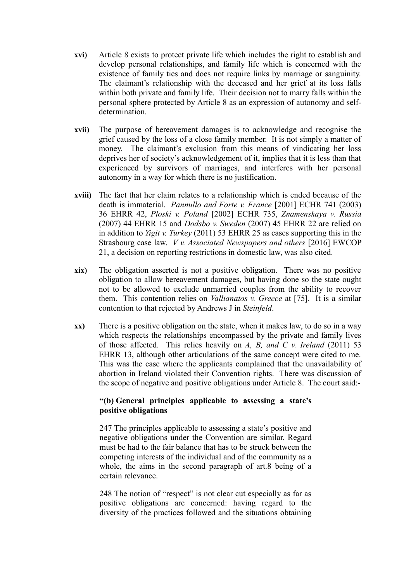- **xvi)** Article 8 exists to protect private life which includes the right to establish and develop personal relationships, and family life which is concerned with the existence of family ties and does not require links by marriage or sanguinity. The claimant's relationship with the deceased and her grief at its loss falls within both private and family life. Their decision not to marry falls within the personal sphere protected by Article 8 as an expression of autonomy and selfdetermination.
- **xvii)** The purpose of bereavement damages is to acknowledge and recognise the grief caused by the loss of a close family member. It is not simply a matter of money. The claimant's exclusion from this means of vindicating her loss deprives her of society's acknowledgement of it, implies that it is less than that experienced by survivors of marriages, and interferes with her personal autonomy in a way for which there is no justification.
- **xviii)** The fact that her claim relates to a relationship which is ended because of the death is immaterial. *Pannullo and Forte v. France* [2001] ECHR 741 (2003) 36 EHRR 42, *Ploski v. Poland* [2002] ECHR 735, *Znamenskaya v. Russia* (2007) 44 EHRR 15 and *Dodsbo v. Sweden* (2007) 45 EHRR 22 are relied on in addition to *Yigit v. Turkey* (2011) 53 EHRR 25 as cases supporting this in the Strasbourg case law. *V v. Associated Newspapers and others* [2016] EWCOP 21, a decision on reporting restrictions in domestic law, was also cited.
- **xix)** The obligation asserted is not a positive obligation. There was no positive obligation to allow bereavement damages, but having done so the state ought not to be allowed to exclude unmarried couples from the ability to recover them. This contention relies on *Vallianatos v. Greece* at [75]. It is a similar contention to that rejected by Andrews J in *Steinfeld*.
- **xx)** There is a positive obligation on the state, when it makes law, to do so in a way which respects the relationships encompassed by the private and family lives of those affected. This relies heavily on *A, B, and C v. Ireland* (2011) 53 EHRR 13, although other articulations of the same concept were cited to me. This was the case where the applicants complained that the unavailability of abortion in Ireland violated their Convention rights. There was discussion of the scope of negative and positive obligations under Article 8. The court said:-

# **"(b) General principles applicable to assessing a state's positive obligations**

247 The principles applicable to assessing a state's positive and negative obligations under the Convention are similar. Regard must be had to the fair balance that has to be struck between the competing interests of the individual and of the community as a whole, the aims in the second paragraph of art.8 being of a certain relevance.

248 The notion of "respect" is not clear cut especially as far as positive obligations are concerned: having regard to the diversity of the practices followed and the situations obtaining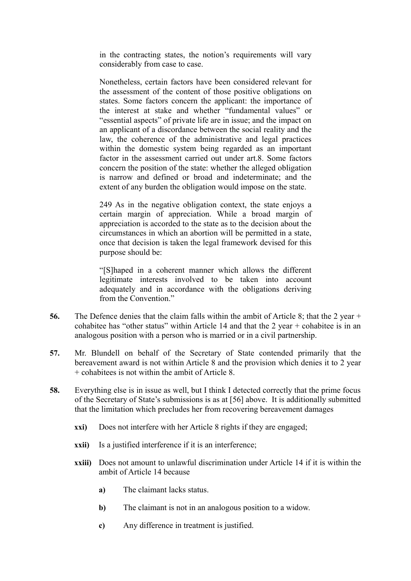in the contracting states, the notion's requirements will vary considerably from case to case.

Nonetheless, certain factors have been considered relevant for the assessment of the content of those positive obligations on states. Some factors concern the applicant: the importance of the interest at stake and whether "fundamental values" or "essential aspects" of private life are in issue; and the impact on an applicant of a discordance between the social reality and the law, the coherence of the administrative and legal practices within the domestic system being regarded as an important factor in the assessment carried out under art.8. Some factors concern the position of the state: whether the alleged obligation is narrow and defined or broad and indeterminate; and the extent of any burden the obligation would impose on the state.

249 As in the negative obligation context, the state enjoys a certain margin of appreciation. While a broad margin of appreciation is accorded to the state as to the decision about the circumstances in which an abortion will be permitted in a state, once that decision is taken the legal framework devised for this purpose should be:

"[S]haped in a coherent manner which allows the different legitimate interests involved to be taken into account adequately and in accordance with the obligations deriving from the Convention."

- **56.** The Defence denies that the claim falls within the ambit of Article 8; that the 2 year + cohabitee has "other status" within Article 14 and that the 2 year + cohabitee is in an analogous position with a person who is married or in a civil partnership.
- **57.** Mr. Blundell on behalf of the Secretary of State contended primarily that the bereavement award is not within Article 8 and the provision which denies it to 2 year + cohabitees is not within the ambit of Article 8.
- **58.** Everything else is in issue as well, but I think I detected correctly that the prime focus of the Secretary of State's submissions is as at [56] above. It is additionally submitted that the limitation which precludes her from recovering bereavement damages
	- **xxi)** Does not interfere with her Article 8 rights if they are engaged;
	- **xxii)** Is a justified interference if it is an interference;
	- **xxiii)** Does not amount to unlawful discrimination under Article 14 if it is within the ambit of Article 14 because
		- **a)** The claimant lacks status.
		- **b)** The claimant is not in an analogous position to a widow.
		- **c)** Any difference in treatment is justified.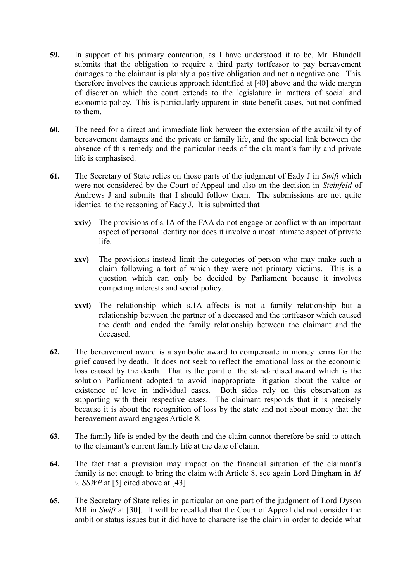- **59.** In support of his primary contention, as I have understood it to be, Mr. Blundell submits that the obligation to require a third party tortfeasor to pay bereavement damages to the claimant is plainly a positive obligation and not a negative one. This therefore involves the cautious approach identified at [40] above and the wide margin of discretion which the court extends to the legislature in matters of social and economic policy. This is particularly apparent in state benefit cases, but not confined to them.
- **60.** The need for a direct and immediate link between the extension of the availability of bereavement damages and the private or family life, and the special link between the absence of this remedy and the particular needs of the claimant's family and private life is emphasised.
- **61.** The Secretary of State relies on those parts of the judgment of Eady J in *Swift* which were not considered by the Court of Appeal and also on the decision in *Steinfeld* of Andrews J and submits that I should follow them. The submissions are not quite identical to the reasoning of Eady J. It is submitted that
	- **xxiv)** The provisions of s.1A of the FAA do not engage or conflict with an important aspect of personal identity nor does it involve a most intimate aspect of private life.
	- **xxv)** The provisions instead limit the categories of person who may make such a claim following a tort of which they were not primary victims. This is a question which can only be decided by Parliament because it involves competing interests and social policy.
	- **xxvi)** The relationship which s.1A affects is not a family relationship but a relationship between the partner of a deceased and the tortfeasor which caused the death and ended the family relationship between the claimant and the deceased.
- **62.** The bereavement award is a symbolic award to compensate in money terms for the grief caused by death. It does not seek to reflect the emotional loss or the economic loss caused by the death. That is the point of the standardised award which is the solution Parliament adopted to avoid inappropriate litigation about the value or existence of love in individual cases. Both sides rely on this observation as supporting with their respective cases. The claimant responds that it is precisely because it is about the recognition of loss by the state and not about money that the bereavement award engages Article 8.
- **63.** The family life is ended by the death and the claim cannot therefore be said to attach to the claimant's current family life at the date of claim.
- **64.** The fact that a provision may impact on the financial situation of the claimant's family is not enough to bring the claim with Article 8, see again Lord Bingham in *M v. SSWP* at [5] cited above at [43].
- **65.** The Secretary of State relies in particular on one part of the judgment of Lord Dyson MR in *Swift* at [30]. It will be recalled that the Court of Appeal did not consider the ambit or status issues but it did have to characterise the claim in order to decide what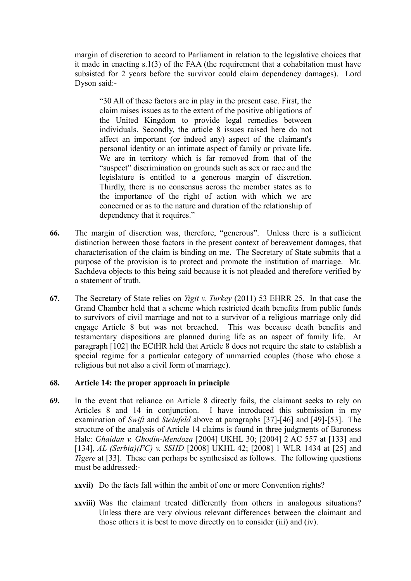margin of discretion to accord to Parliament in relation to the legislative choices that it made in enacting s.1(3) of the FAA (the requirement that a cohabitation must have subsisted for 2 years before the survivor could claim dependency damages). Lord Dyson said:-

"30 All of these factors are in play in the present case. First, the claim raises issues as to the extent of the positive obligations of the United Kingdom to provide legal remedies between individuals. Secondly, the article 8 issues raised here do not affect an important (or indeed any) aspect of the claimant's personal identity or an intimate aspect of family or private life. We are in territory which is far removed from that of the "suspect" discrimination on grounds such as sex or race and the legislature is entitled to a generous margin of discretion. Thirdly, there is no consensus across the member states as to the importance of the right of action with which we are concerned or as to the nature and duration of the relationship of dependency that it requires."

- **66.** The margin of discretion was, therefore, "generous". Unless there is a sufficient distinction between those factors in the present context of bereavement damages, that characterisation of the claim is binding on me. The Secretary of State submits that a purpose of the provision is to protect and promote the institution of marriage. Mr. Sachdeva objects to this being said because it is not pleaded and therefore verified by a statement of truth.
- **67.** The Secretary of State relies on *Yigit v. Turkey* (2011) 53 EHRR 25. In that case the Grand Chamber held that a scheme which restricted death benefits from public funds to survivors of civil marriage and not to a survivor of a religious marriage only did engage Article 8 but was not breached. This was because death benefits and testamentary dispositions are planned during life as an aspect of family life. At paragraph [102] the ECtHR held that Article 8 does not require the state to establish a special regime for a particular category of unmarried couples (those who chose a religious but not also a civil form of marriage).

## **68. Article 14: the proper approach in principle**

- **69.** In the event that reliance on Article 8 directly fails, the claimant seeks to rely on Articles 8 and 14 in conjunction. I have introduced this submission in my examination of *Swift* and *Steinfeld* above at paragraphs [37]-[46] and [49]-[53]. The structure of the analysis of Article 14 claims is found in three judgments of Baroness Hale: *Ghaidan v. Ghodin-Mendoza* [2004] UKHL 30; [2004] 2 AC 557 at [133] and [134], *AL (Serbia)(FC) v. SSHD* [2008] UKHL 42; [2008] 1 WLR 1434 at [25] and *Tigere* at [33]. These can perhaps be synthesised as follows. The following questions must be addressed:
	- **xxvii)** Do the facts fall within the ambit of one or more Convention rights?
	- **xxviii)** Was the claimant treated differently from others in analogous situations? Unless there are very obvious relevant differences between the claimant and those others it is best to move directly on to consider (iii) and (iv).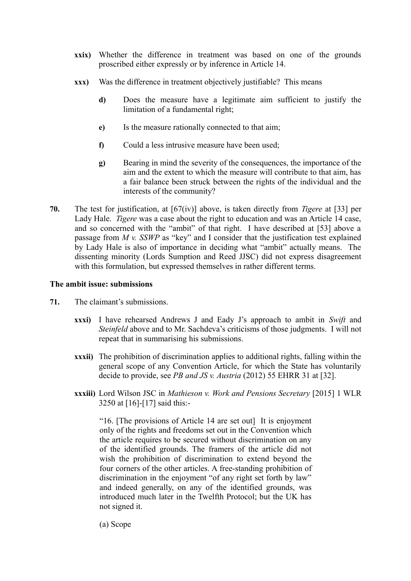- **xxix)** Whether the difference in treatment was based on one of the grounds proscribed either expressly or by inference in Article 14.
- **xxx)** Was the difference in treatment objectively justifiable? This means
	- **d)** Does the measure have a legitimate aim sufficient to justify the limitation of a fundamental right;
	- **e)** Is the measure rationally connected to that aim;
	- **f)** Could a less intrusive measure have been used;
	- **g)** Bearing in mind the severity of the consequences, the importance of the aim and the extent to which the measure will contribute to that aim, has a fair balance been struck between the rights of the individual and the interests of the community?
- **70.** The test for justification, at [67(iv)] above, is taken directly from *Tigere* at [33] per Lady Hale. *Tigere* was a case about the right to education and was an Article 14 case, and so concerned with the "ambit" of that right. I have described at [53] above a passage from *M v. SSWP* as "key" and I consider that the justification test explained by Lady Hale is also of importance in deciding what "ambit" actually means. The dissenting minority (Lords Sumption and Reed JJSC) did not express disagreement with this formulation, but expressed themselves in rather different terms.

# **The ambit issue: submissions**

- **71.** The claimant's submissions.
	- **xxxi)** I have rehearsed Andrews J and Eady J's approach to ambit in *Swift* and *Steinfeld* above and to Mr. Sachdeva's criticisms of those judgments. I will not repeat that in summarising his submissions.
	- **xxxii)** The prohibition of discrimination applies to additional rights, falling within the general scope of any Convention Article, for which the State has voluntarily decide to provide, see *PB and JS v. Austria* (2012) 55 EHRR 31 at [32].
	- **xxxiii)** Lord Wilson JSC in *Mathieson v. Work and Pensions Secretary* [2015] 1 WLR 3250 at [16]-[17] said this:-

"16. [The provisions of Article 14 are set out] It is enjoyment only of the rights and freedoms set out in the Convention which the article requires to be secured without discrimination on any of the identified grounds. The framers of the article did not wish the prohibition of discrimination to extend beyond the four corners of the other articles. A free-standing prohibition of discrimination in the enjoyment "of any right set forth by law" and indeed generally, on any of the identified grounds, was introduced much later in the Twelfth Protocol; but the UK has not signed it.

(a) Scope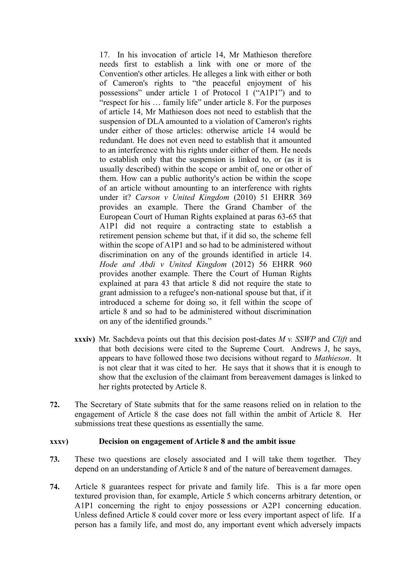17. In his invocation of article 14, Mr Mathieson therefore needs first to establish a link with one or more of the Convention's other articles. He alleges a link with either or both of Cameron's rights to "the peaceful enjoyment of his possessions" under article 1 of Protocol 1 ("A1P1") and to "respect for his … family life" under article 8. For the purposes of article 14, Mr Mathieson does not need to establish that the suspension of DLA amounted to a violation of Cameron's rights under either of those articles: otherwise article 14 would be redundant. He does not even need to establish that it amounted to an interference with his rights under either of them. He needs to establish only that the suspension is linked to, or (as it is usually described) within the scope or ambit of, one or other of them. How can a public authority's action be within the scope of an article without amounting to an interference with rights under it? *Carson v United Kingdom* (2010) 51 EHRR 369 provides an example. There the Grand Chamber of the European Court of Human Rights explained at paras 63-65 that A1P1 did not require a contracting state to establish a retirement pension scheme but that, if it did so, the scheme fell within the scope of A1P1 and so had to be administered without discrimination on any of the grounds identified in article 14. *Hode and Abdi v United Kingdom* (2012) 56 EHRR 960 provides another example. There the Court of Human Rights explained at para 43 that article 8 did not require the state to grant admission to a refugee's non-national spouse but that, if it introduced a scheme for doing so, it fell within the scope of article 8 and so had to be administered without discrimination on any of the identified grounds."

- **xxxiv)** Mr. Sachdeva points out that this decision post-dates *M v. SSWP* and *Clift* and that both decisions were cited to the Supreme Court. Andrews J, he says, appears to have followed those two decisions without regard to *Mathieson*. It is not clear that it was cited to her. He says that it shows that it is enough to show that the exclusion of the claimant from bereavement damages is linked to her rights protected by Article 8.
- **72.** The Secretary of State submits that for the same reasons relied on in relation to the engagement of Article 8 the case does not fall within the ambit of Article 8. Her submissions treat these questions as essentially the same.

## **xxxv) Decision on engagement of Article 8 and the ambit issue**

- **73.** These two questions are closely associated and I will take them together. They depend on an understanding of Article 8 and of the nature of bereavement damages.
- **74.** Article 8 guarantees respect for private and family life. This is a far more open textured provision than, for example, Article 5 which concerns arbitrary detention, or A1P1 concerning the right to enjoy possessions or A2P1 concerning education. Unless defined Article 8 could cover more or less every important aspect of life. If a person has a family life, and most do, any important event which adversely impacts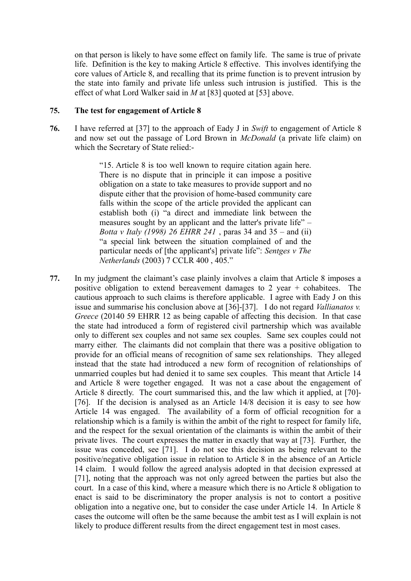on that person is likely to have some effect on family life. The same is true of private life. Definition is the key to making Article 8 effective. This involves identifying the core values of Article 8, and recalling that its prime function is to prevent intrusion by the state into family and private life unless such intrusion is justified. This is the effect of what Lord Walker said in *M* at [83] quoted at [53] above.

#### **75. The test for engagement of Article 8**

**76.** I have referred at [37] to the approach of Eady J in *Swift* to engagement of Article 8 and now set out the passage of Lord Brown in *McDonald* (a private life claim) on which the Secretary of State relied:-

> "15. Article 8 is too well known to require citation again here. There is no dispute that in principle it can impose a positive obligation on a state to take measures to provide support and no dispute either that the provision of home-based community care falls within the scope of the article provided the applicant can establish both (i) "a direct and immediate link between the measures sought by an applicant and the latter's private life" – *Botta v Italy (1998) 26 EHRR 241* , paras 34 and 35 – and (ii) "a special link between the situation complained of and the particular needs of [the applicant's] private life": *Sentges v The Netherlands* (2003) 7 CCLR 400 , 405."

**77.** In my judgment the claimant's case plainly involves a claim that Article 8 imposes a positive obligation to extend bereavement damages to 2 year + cohabitees. The cautious approach to such claims is therefore applicable. I agree with Eady J on this issue and summarise his conclusion above at [36]-[37]. I do not regard *Vallianatos v. Greece* (20140 59 EHRR 12 as being capable of affecting this decision. In that case the state had introduced a form of registered civil partnership which was available only to different sex couples and not same sex couples. Same sex couples could not marry either. The claimants did not complain that there was a positive obligation to provide for an official means of recognition of same sex relationships. They alleged instead that the state had introduced a new form of recognition of relationships of unmarried couples but had denied it to same sex couples. This meant that Article 14 and Article 8 were together engaged. It was not a case about the engagement of Article 8 directly. The court summarised this, and the law which it applied, at [70]- [76]. If the decision is analysed as an Article 14/8 decision it is easy to see how Article 14 was engaged. The availability of a form of official recognition for a relationship which is a family is within the ambit of the right to respect for family life, and the respect for the sexual orientation of the claimants is within the ambit of their private lives. The court expresses the matter in exactly that way at [73]. Further, the issue was conceded, see [71]. I do not see this decision as being relevant to the positive/negative obligation issue in relation to Article 8 in the absence of an Article 14 claim. I would follow the agreed analysis adopted in that decision expressed at [71], noting that the approach was not only agreed between the parties but also the court. In a case of this kind, where a measure which there is no Article 8 obligation to enact is said to be discriminatory the proper analysis is not to contort a positive obligation into a negative one, but to consider the case under Article 14. In Article 8 cases the outcome will often be the same because the ambit test as I will explain is not likely to produce different results from the direct engagement test in most cases.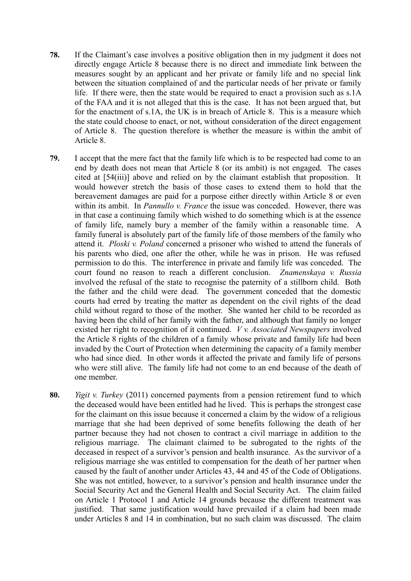- **78.** If the Claimant's case involves a positive obligation then in my judgment it does not directly engage Article 8 because there is no direct and immediate link between the measures sought by an applicant and her private or family life and no special link between the situation complained of and the particular needs of her private or family life. If there were, then the state would be required to enact a provision such as s.1A of the FAA and it is not alleged that this is the case. It has not been argued that, but for the enactment of s.1A, the UK is in breach of Article 8. This is a measure which the state could choose to enact, or not, without consideration of the direct engagement of Article 8. The question therefore is whether the measure is within the ambit of Article 8.
- **79.** I accept that the mere fact that the family life which is to be respected had come to an end by death does not mean that Article 8 (or its ambit) is not engaged. The cases cited at [54(iii)] above and relied on by the claimant establish that proposition. It would however stretch the basis of those cases to extend them to hold that the bereavement damages are paid for a purpose either directly within Article 8 or even within its ambit. In *Pannullo v. France* the issue was conceded. However, there was in that case a continuing family which wished to do something which is at the essence of family life, namely bury a member of the family within a reasonable time. A family funeral is absolutely part of the family life of those members of the family who attend it. *Ploski v. Poland* concerned a prisoner who wished to attend the funerals of his parents who died, one after the other, while he was in prison. He was refused permission to do this. The interference in private and family life was conceded. The court found no reason to reach a different conclusion. *Znamenskaya v. Russia* involved the refusal of the state to recognise the paternity of a stillborn child. Both the father and the child were dead. The government conceded that the domestic courts had erred by treating the matter as dependent on the civil rights of the dead child without regard to those of the mother. She wanted her child to be recorded as having been the child of her family with the father, and although that family no longer existed her right to recognition of it continued. *V v. Associated Newspapers* involved the Article 8 rights of the children of a family whose private and family life had been invaded by the Court of Protection when determining the capacity of a family member who had since died. In other words it affected the private and family life of persons who were still alive. The family life had not come to an end because of the death of one member.
- **80.** *Yigit v. Turkey* (2011) concerned payments from a pension retirement fund to which the deceased would have been entitled had he lived. This is perhaps the strongest case for the claimant on this issue because it concerned a claim by the widow of a religious marriage that she had been deprived of some benefits following the death of her partner because they had not chosen to contract a civil marriage in addition to the religious marriage. The claimant claimed to be subrogated to the rights of the deceased in respect of a survivor's pension and health insurance. As the survivor of a religious marriage she was entitled to compensation for the death of her partner when caused by the fault of another under Articles 43, 44 and 45 of the Code of Obligations. She was not entitled, however, to a survivor's pension and health insurance under the Social Security Act and the General Health and Social Security Act. The claim failed on Article 1 Protocol 1 and Article 14 grounds because the different treatment was justified. That same justification would have prevailed if a claim had been made under Articles 8 and 14 in combination, but no such claim was discussed. The claim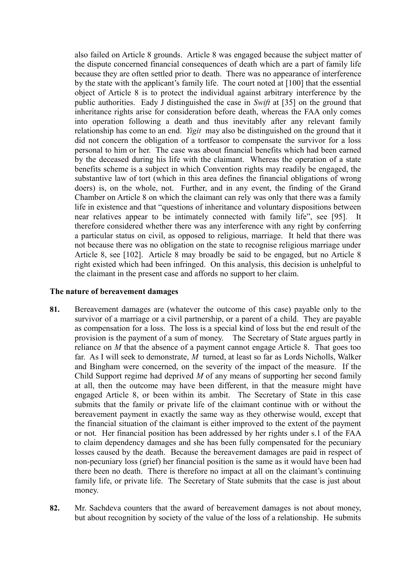also failed on Article 8 grounds. Article 8 was engaged because the subject matter of the dispute concerned financial consequences of death which are a part of family life because they are often settled prior to death. There was no appearance of interference by the state with the applicant's family life. The court noted at [100] that the essential object of Article 8 is to protect the individual against arbitrary interference by the public authorities. Eady J distinguished the case in *Swift* at [35] on the ground that inheritance rights arise for consideration before death, whereas the FAA only comes into operation following a death and thus inevitably after any relevant family relationship has come to an end. *Yigit* may also be distinguished on the ground that it did not concern the obligation of a tortfeasor to compensate the survivor for a loss personal to him or her. The case was about financial benefits which had been earned by the deceased during his life with the claimant. Whereas the operation of a state benefits scheme is a subject in which Convention rights may readily be engaged, the substantive law of tort (which in this area defines the financial obligations of wrong doers) is, on the whole, not. Further, and in any event, the finding of the Grand Chamber on Article 8 on which the claimant can rely was only that there was a family life in existence and that "questions of inheritance and voluntary dispositions between near relatives appear to be intimately connected with family life", see [95]. It therefore considered whether there was any interference with any right by conferring a particular status on civil, as opposed to religious, marriage. It held that there was not because there was no obligation on the state to recognise religious marriage under Article 8, see [102]. Article 8 may broadly be said to be engaged, but no Article 8 right existed which had been infringed. On this analysis, this decision is unhelpful to the claimant in the present case and affords no support to her claim.

#### **The nature of bereavement damages**

- **81.** Bereavement damages are (whatever the outcome of this case) payable only to the survivor of a marriage or a civil partnership, or a parent of a child. They are payable as compensation for a loss. The loss is a special kind of loss but the end result of the provision is the payment of a sum of money. The Secretary of State argues partly in reliance on *M* that the absence of a payment cannot engage Article 8. That goes too far. As I will seek to demonstrate, *M* turned, at least so far as Lords Nicholls, Walker and Bingham were concerned, on the severity of the impact of the measure. If the Child Support regime had deprived *M* of any means of supporting her second family at all, then the outcome may have been different, in that the measure might have engaged Article 8, or been within its ambit. The Secretary of State in this case submits that the family or private life of the claimant continue with or without the bereavement payment in exactly the same way as they otherwise would, except that the financial situation of the claimant is either improved to the extent of the payment or not. Her financial position has been addressed by her rights under s.1 of the FAA to claim dependency damages and she has been fully compensated for the pecuniary losses caused by the death. Because the bereavement damages are paid in respect of non-pecuniary loss (grief) her financial position is the same as it would have been had there been no death. There is therefore no impact at all on the claimant's continuing family life, or private life. The Secretary of State submits that the case is just about money.
- **82.** Mr. Sachdeva counters that the award of bereavement damages is not about money, but about recognition by society of the value of the loss of a relationship. He submits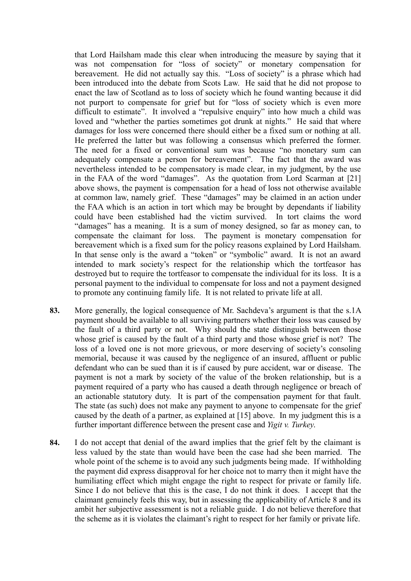that Lord Hailsham made this clear when introducing the measure by saying that it was not compensation for "loss of society" or monetary compensation for bereavement. He did not actually say this. "Loss of society" is a phrase which had been introduced into the debate from Scots Law. He said that he did not propose to enact the law of Scotland as to loss of society which he found wanting because it did not purport to compensate for grief but for "loss of society which is even more difficult to estimate". It involved a "repulsive enquiry" into how much a child was loved and "whether the parties sometimes got drunk at nights." He said that where damages for loss were concerned there should either be a fixed sum or nothing at all. He preferred the latter but was following a consensus which preferred the former. The need for a fixed or conventional sum was because "no monetary sum can adequately compensate a person for bereavement". The fact that the award was nevertheless intended to be compensatory is made clear, in my judgment, by the use in the FAA of the word "damages". As the quotation from Lord Scarman at [21] above shows, the payment is compensation for a head of loss not otherwise available at common law, namely grief. These "damages" may be claimed in an action under the FAA which is an action in tort which may be brought by dependants if liability could have been established had the victim survived. In tort claims the word "damages" has a meaning. It is a sum of money designed, so far as money can, to compensate the claimant for loss. The payment is monetary compensation for bereavement which is a fixed sum for the policy reasons explained by Lord Hailsham. In that sense only is the award a "token" or "symbolic" award. It is not an award intended to mark society's respect for the relationship which the tortfeasor has destroyed but to require the tortfeasor to compensate the individual for its loss. It is a personal payment to the individual to compensate for loss and not a payment designed to promote any continuing family life. It is not related to private life at all.

- **83.** More generally, the logical consequence of Mr. Sachdeva's argument is that the s.1A payment should be available to all surviving partners whether their loss was caused by the fault of a third party or not. Why should the state distinguish between those whose grief is caused by the fault of a third party and those whose grief is not? The loss of a loved one is not more grievous, or more deserving of society's consoling memorial, because it was caused by the negligence of an insured, affluent or public defendant who can be sued than it is if caused by pure accident, war or disease. The payment is not a mark by society of the value of the broken relationship, but is a payment required of a party who has caused a death through negligence or breach of an actionable statutory duty. It is part of the compensation payment for that fault. The state (as such) does not make any payment to anyone to compensate for the grief caused by the death of a partner, as explained at [15] above. In my judgment this is a further important difference between the present case and *Yigit v. Turkey*.
- **84.** I do not accept that denial of the award implies that the grief felt by the claimant is less valued by the state than would have been the case had she been married. The whole point of the scheme is to avoid any such judgments being made. If withholding the payment did express disapproval for her choice not to marry then it might have the humiliating effect which might engage the right to respect for private or family life. Since I do not believe that this is the case, I do not think it does. I accept that the claimant genuinely feels this way, but in assessing the applicability of Article 8 and its ambit her subjective assessment is not a reliable guide. I do not believe therefore that the scheme as it is violates the claimant's right to respect for her family or private life.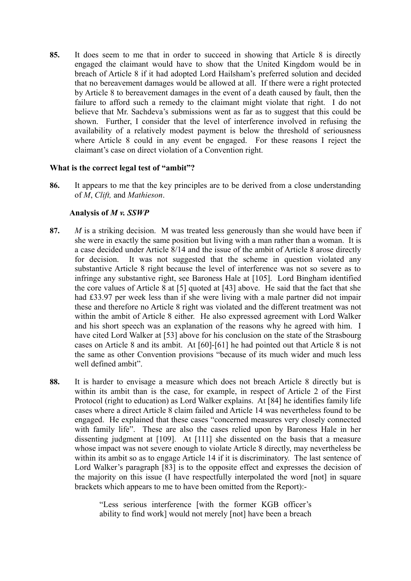**85.** It does seem to me that in order to succeed in showing that Article 8 is directly engaged the claimant would have to show that the United Kingdom would be in breach of Article 8 if it had adopted Lord Hailsham's preferred solution and decided that no bereavement damages would be allowed at all. If there were a right protected by Article 8 to bereavement damages in the event of a death caused by fault, then the failure to afford such a remedy to the claimant might violate that right. I do not believe that Mr. Sachdeva's submissions went as far as to suggest that this could be shown. Further, I consider that the level of interference involved in refusing the availability of a relatively modest payment is below the threshold of seriousness where Article 8 could in any event be engaged. For these reasons I reject the claimant's case on direct violation of a Convention right.

## **What is the correct legal test of "ambit"?**

**86.** It appears to me that the key principles are to be derived from a close understanding of *M*, *Clift,* and *Mathieson*.

# **Analysis of** *M v. SSWP*

- **87.** *M* is a striking decision. M was treated less generously than she would have been if she were in exactly the same position but living with a man rather than a woman. It is a case decided under Article 8/14 and the issue of the ambit of Article 8 arose directly for decision. It was not suggested that the scheme in question violated any substantive Article 8 right because the level of interference was not so severe as to infringe any substantive right, see Baroness Hale at [105]. Lord Bingham identified the core values of Article 8 at [5] quoted at [43] above. He said that the fact that she had £33.97 per week less than if she were living with a male partner did not impair these and therefore no Article 8 right was violated and the different treatment was not within the ambit of Article 8 either. He also expressed agreement with Lord Walker and his short speech was an explanation of the reasons why he agreed with him. I have cited Lord Walker at [53] above for his conclusion on the state of the Strasbourg cases on Article 8 and its ambit. At [60]-[61] he had pointed out that Article 8 is not the same as other Convention provisions "because of its much wider and much less well defined ambit".
- **88.** It is harder to envisage a measure which does not breach Article 8 directly but is within its ambit than is the case, for example, in respect of Article 2 of the First Protocol (right to education) as Lord Walker explains. At [84] he identifies family life cases where a direct Article 8 claim failed and Article 14 was nevertheless found to be engaged. He explained that these cases "concerned measures very closely connected with family life". These are also the cases relied upon by Baroness Hale in her dissenting judgment at [109]. At [111] she dissented on the basis that a measure whose impact was not severe enough to violate Article 8 directly, may nevertheless be within its ambit so as to engage Article 14 if it is discriminatory. The last sentence of Lord Walker's paragraph [83] is to the opposite effect and expresses the decision of the majority on this issue (I have respectfully interpolated the word [not] in square brackets which appears to me to have been omitted from the Report):-

"Less serious interference [with the former KGB officer's ability to find work] would not merely [not] have been a breach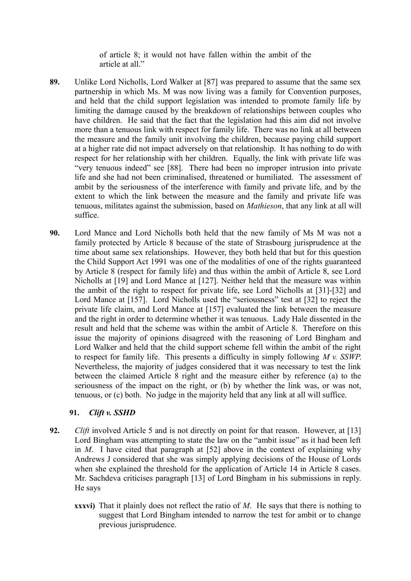of article 8; it would not have fallen within the ambit of the article at all."

- **89.** Unlike Lord Nicholls, Lord Walker at [87] was prepared to assume that the same sex partnership in which Ms. M was now living was a family for Convention purposes, and held that the child support legislation was intended to promote family life by limiting the damage caused by the breakdown of relationships between couples who have children. He said that the fact that the legislation had this aim did not involve more than a tenuous link with respect for family life. There was no link at all between the measure and the family unit involving the children, because paying child support at a higher rate did not impact adversely on that relationship. It has nothing to do with respect for her relationship with her children. Equally, the link with private life was "very tenuous indeed" see [88]. There had been no improper intrusion into private life and she had not been criminalised, threatened or humiliated. The assessment of ambit by the seriousness of the interference with family and private life, and by the extent to which the link between the measure and the family and private life was tenuous, militates against the submission, based on *Mathieson*, that any link at all will suffice.
- **90.** Lord Mance and Lord Nicholls both held that the new family of Ms M was not a family protected by Article 8 because of the state of Strasbourg jurisprudence at the time about same sex relationships. However, they both held that but for this question the Child Support Act 1991 was one of the modalities of one of the rights guaranteed by Article 8 (respect for family life) and thus within the ambit of Article 8, see Lord Nicholls at [19] and Lord Mance at [127]. Neither held that the measure was within the ambit of the right to respect for private life, see Lord Nicholls at [31]-[32] and Lord Mance at [157]. Lord Nicholls used the "seriousness" test at [32] to reject the private life claim, and Lord Mance at [157] evaluated the link between the measure and the right in order to determine whether it was tenuous. Lady Hale dissented in the result and held that the scheme was within the ambit of Article 8. Therefore on this issue the majority of opinions disagreed with the reasoning of Lord Bingham and Lord Walker and held that the child support scheme fell within the ambit of the right to respect for family life. This presents a difficulty in simply following *M v. SSWP*. Nevertheless, the majority of judges considered that it was necessary to test the link between the claimed Article 8 right and the measure either by reference (a) to the seriousness of the impact on the right, or (b) by whether the link was, or was not, tenuous, or (c) both. No judge in the majority held that any link at all will suffice.

# **91.** *Clift v. SSHD*

- **92.** *Clift* involved Article 5 and is not directly on point for that reason. However, at [13] Lord Bingham was attempting to state the law on the "ambit issue" as it had been left in *M*. I have cited that paragraph at [52] above in the context of explaining why Andrews J considered that she was simply applying decisions of the House of Lords when she explained the threshold for the application of Article 14 in Article 8 cases. Mr. Sachdeva criticises paragraph [13] of Lord Bingham in his submissions in reply. He says
	- **xxxvi)** That it plainly does not reflect the ratio of *M*. He says that there is nothing to suggest that Lord Bingham intended to narrow the test for ambit or to change previous jurisprudence.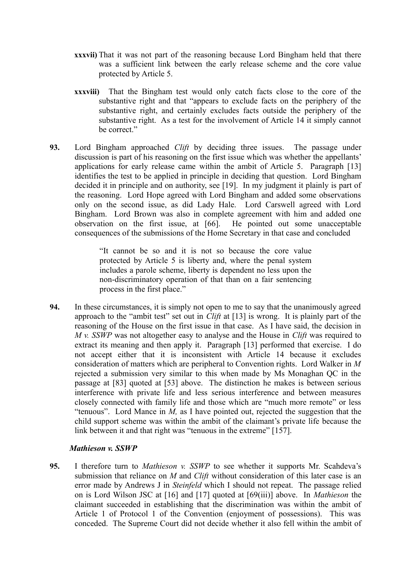- **xxxvii)** That it was not part of the reasoning because Lord Bingham held that there was a sufficient link between the early release scheme and the core value protected by Article 5.
- **xxxviii)** That the Bingham test would only catch facts close to the core of the substantive right and that "appears to exclude facts on the periphery of the substantive right, and certainly excludes facts outside the periphery of the substantive right. As a test for the involvement of Article 14 it simply cannot be correct."
- **93.** Lord Bingham approached *Clift* by deciding three issues. The passage under discussion is part of his reasoning on the first issue which was whether the appellants' applications for early release came within the ambit of Article 5. Paragraph [13] identifies the test to be applied in principle in deciding that question. Lord Bingham decided it in principle and on authority, see [19]. In my judgment it plainly is part of the reasoning. Lord Hope agreed with Lord Bingham and added some observations only on the second issue, as did Lady Hale. Lord Carswell agreed with Lord Bingham. Lord Brown was also in complete agreement with him and added one observation on the first issue, at [66]. He pointed out some unacceptable consequences of the submissions of the Home Secretary in that case and concluded

"It cannot be so and it is not so because the core value protected by Article 5 is liberty and, where the penal system includes a parole scheme, liberty is dependent no less upon the non-discriminatory operation of that than on a fair sentencing process in the first place."

**94.** In these circumstances, it is simply not open to me to say that the unanimously agreed approach to the "ambit test" set out in *Clift* at [13] is wrong. It is plainly part of the reasoning of the House on the first issue in that case. As I have said, the decision in *M v. SSWP* was not altogether easy to analyse and the House in *Clift* was required to extract its meaning and then apply it. Paragraph [13] performed that exercise. I do not accept either that it is inconsistent with Article 14 because it excludes consideration of matters which are peripheral to Convention rights. Lord Walker in *M* rejected a submission very similar to this when made by Ms Monaghan QC in the passage at [83] quoted at [53] above. The distinction he makes is between serious interference with private life and less serious interference and between measures closely connected with family life and those which are "much more remote" or less "tenuous". Lord Mance in *M,* as I have pointed out, rejected the suggestion that the child support scheme was within the ambit of the claimant's private life because the link between it and that right was "tenuous in the extreme" [157].

## *Mathieson v. SSWP*

**95.** I therefore turn to *Mathieson v. SSWP* to see whether it supports Mr. Scahdeva's submission that reliance on *M* and *Clift* without consideration of this later case is an error made by Andrews J in *Steinfeld* which I should not repeat. The passage relied on is Lord Wilson JSC at [16] and [17] quoted at [69(iii)] above. In *Mathieson* the claimant succeeded in establishing that the discrimination was within the ambit of Article 1 of Protocol 1 of the Convention (enjoyment of possessions). This was conceded. The Supreme Court did not decide whether it also fell within the ambit of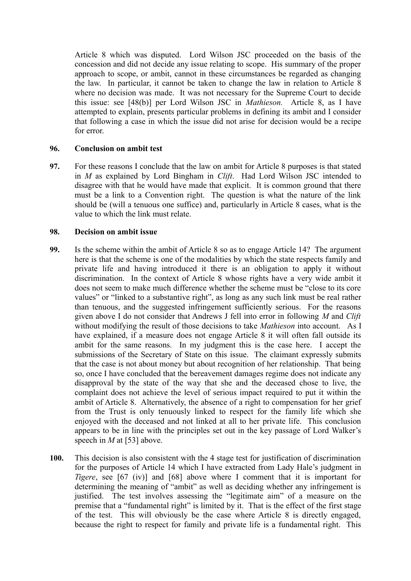Article 8 which was disputed. Lord Wilson JSC proceeded on the basis of the concession and did not decide any issue relating to scope. His summary of the proper approach to scope, or ambit, cannot in these circumstances be regarded as changing the law. In particular, it cannot be taken to change the law in relation to Article 8 where no decision was made. It was not necessary for the Supreme Court to decide this issue: see [48(b)] per Lord Wilson JSC in *Mathieson.* Article 8, as I have attempted to explain, presents particular problems in defining its ambit and I consider that following a case in which the issue did not arise for decision would be a recipe for error.

## **96. Conclusion on ambit test**

**97.** For these reasons I conclude that the law on ambit for Article 8 purposes is that stated in *M* as explained by Lord Bingham in *Clift*. Had Lord Wilson JSC intended to disagree with that he would have made that explicit. It is common ground that there must be a link to a Convention right. The question is what the nature of the link should be (will a tenuous one suffice) and, particularly in Article 8 cases, what is the value to which the link must relate.

# **98. Decision on ambit issue**

- **99.** Is the scheme within the ambit of Article 8 so as to engage Article 14? The argument here is that the scheme is one of the modalities by which the state respects family and private life and having introduced it there is an obligation to apply it without discrimination. In the context of Article 8 whose rights have a very wide ambit it does not seem to make much difference whether the scheme must be "close to its core values" or "linked to a substantive right", as long as any such link must be real rather than tenuous, and the suggested infringement sufficiently serious. For the reasons given above I do not consider that Andrews J fell into error in following *M* and *Clift* without modifying the result of those decisions to take *Mathieson* into account. As I have explained, if a measure does not engage Article 8 it will often fall outside its ambit for the same reasons. In my judgment this is the case here. I accept the submissions of the Secretary of State on this issue. The claimant expressly submits that the case is not about money but about recognition of her relationship. That being so, once I have concluded that the bereavement damages regime does not indicate any disapproval by the state of the way that she and the deceased chose to live, the complaint does not achieve the level of serious impact required to put it within the ambit of Article 8. Alternatively, the absence of a right to compensation for her grief from the Trust is only tenuously linked to respect for the family life which she enjoyed with the deceased and not linked at all to her private life. This conclusion appears to be in line with the principles set out in the key passage of Lord Walker's speech in *M* at [53] above.
- **100.** This decision is also consistent with the 4 stage test for justification of discrimination for the purposes of Article 14 which I have extracted from Lady Hale's judgment in *Tigere*, see [67 (iv)] and [68] above where I comment that it is important for determining the meaning of "ambit" as well as deciding whether any infringement is justified. The test involves assessing the "legitimate aim" of a measure on the premise that a "fundamental right" is limited by it. That is the effect of the first stage of the test. This will obviously be the case where Article 8 is directly engaged, because the right to respect for family and private life is a fundamental right. This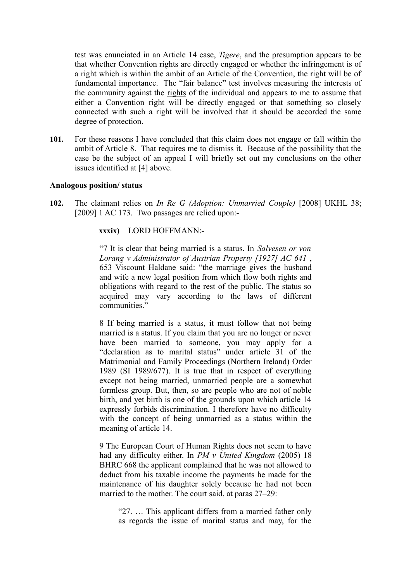test was enunciated in an Article 14 case, *Tigere*, and the presumption appears to be that whether Convention rights are directly engaged or whether the infringement is of a right which is within the ambit of an Article of the Convention, the right will be of fundamental importance. The "fair balance" test involves measuring the interests of the community against the rights of the individual and appears to me to assume that either a Convention right will be directly engaged or that something so closely connected with such a right will be involved that it should be accorded the same degree of protection.

**101.** For these reasons I have concluded that this claim does not engage or fall within the ambit of Article 8. That requires me to dismiss it. Because of the possibility that the case be the subject of an appeal I will briefly set out my conclusions on the other issues identified at [4] above.

#### **Analogous position/ status**

**102.** The claimant relies on *In Re G (Adoption: Unmarried Couple)* [2008] UKHL 38; [2009] 1 AC 173. Two passages are relied upon:-

## **xxxix)** LORD HOFFMANN:-

"7 It is clear that being married is a status. In *Salvesen or von Lorang v Administrator of Austrian Property [1927] AC 641* , 653 Viscount Haldane said: "the marriage gives the husband and wife a new legal position from which flow both rights and obligations with regard to the rest of the public. The status so acquired may vary according to the laws of different communities."

8 If being married is a status, it must follow that not being married is a status. If you claim that you are no longer or never have been married to someone, you may apply for a "declaration as to marital status" under article 31 of the Matrimonial and Family Proceedings (Northern Ireland) Order 1989 (SI 1989/677). It is true that in respect of everything except not being married, unmarried people are a somewhat formless group. But, then, so are people who are not of noble birth, and yet birth is one of the grounds upon which article 14 expressly forbids discrimination. I therefore have no difficulty with the concept of being unmarried as a status within the meaning of article 14.

9 The European Court of Human Rights does not seem to have had any difficulty either. In *PM v United Kingdom* (2005) 18 BHRC 668 the applicant complained that he was not allowed to deduct from his taxable income the payments he made for the maintenance of his daughter solely because he had not been married to the mother. The court said, at paras 27–29:

"27. … This applicant differs from a married father only as regards the issue of marital status and may, for the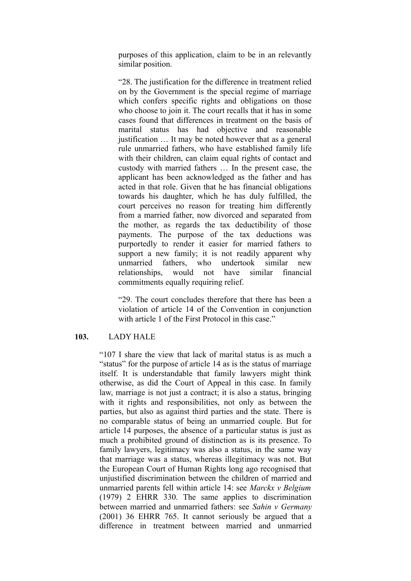purposes of this application, claim to be in an relevantly similar position.

"28. The justification for the difference in treatment relied on by the Government is the special regime of marriage which confers specific rights and obligations on those who choose to join it. The court recalls that it has in some cases found that differences in treatment on the basis of marital status has had objective and reasonable justification ... It may be noted however that as a general rule unmarried fathers, who have established family life with their children, can claim equal rights of contact and custody with married fathers … In the present case, the applicant has been acknowledged as the father and has acted in that role. Given that he has financial obligations towards his daughter, which he has duly fulfilled, the court perceives no reason for treating him differently from a married father, now divorced and separated from the mother, as regards the tax deductibility of those payments. The purpose of the tax deductions was purportedly to render it easier for married fathers to support a new family; it is not readily apparent why unmarried fathers, who undertook similar new relationships, would not have similar financial commitments equally requiring relief.

"29. The court concludes therefore that there has been a violation of article 14 of the Convention in conjunction with article 1 of the First Protocol in this case."

#### **103.** LADY HALE

"107 I share the view that lack of marital status is as much a "status" for the purpose of article 14 as is the status of marriage itself. It is understandable that family lawyers might think otherwise, as did the Court of Appeal in this case. In family law, marriage is not just a contract; it is also a status, bringing with it rights and responsibilities, not only as between the parties, but also as against third parties and the state. There is no comparable status of being an unmarried couple. But for article 14 purposes, the absence of a particular status is just as much a prohibited ground of distinction as is its presence. To family lawyers, legitimacy was also a status, in the same way that marriage was a status, whereas illegitimacy was not. But the European Court of Human Rights long ago recognised that unjustified discrimination between the children of married and unmarried parents fell within article 14: see *Marckx v Belgium* (1979) 2 EHRR 330. The same applies to discrimination between married and unmarried fathers: see *Sahin v Germany* (2001) 36 EHRR 765. It cannot seriously be argued that a difference in treatment between married and unmarried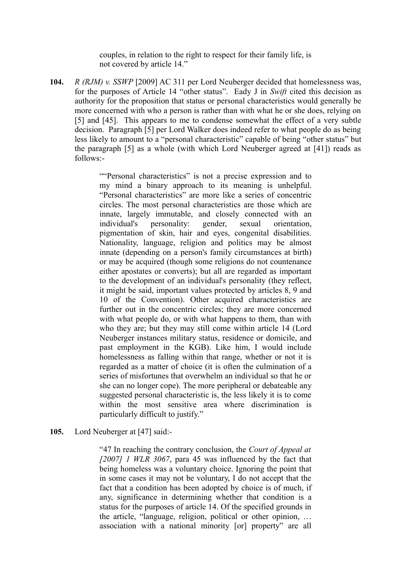couples, in relation to the right to respect for their family life, is not covered by article 14."

**104.** *R (RJM) v. SSWP* [2009] AC 311 per Lord Neuberger decided that homelessness was, for the purposes of Article 14 "other status". Eady J in *Swift* cited this decision as authority for the proposition that status or personal characteristics would generally be more concerned with who a person is rather than with what he or she does, relying on [5] and [45]. This appears to me to condense somewhat the effect of a very subtle decision. Paragraph [5] per Lord Walker does indeed refer to what people do as being less likely to amount to a "personal characteristic" capable of being "other status" but the paragraph [5] as a whole (with which Lord Neuberger agreed at [41]) reads as follows:-

> ""Personal characteristics" is not a precise expression and to my mind a binary approach to its meaning is unhelpful. "Personal characteristics" are more like a series of concentric circles. The most personal characteristics are those which are innate, largely immutable, and closely connected with an individual's personality: gender, sexual orientation, pigmentation of skin, hair and eyes, congenital disabilities. Nationality, language, religion and politics may be almost innate (depending on a person's family circumstances at birth) or may be acquired (though some religions do not countenance either apostates or converts); but all are regarded as important to the development of an individual's personality (they reflect, it might be said, important values protected by articles 8, 9 and 10 of the Convention). Other acquired characteristics are further out in the concentric circles; they are more concerned with what people do, or with what happens to them, than with who they are; but they may still come within article 14 (Lord Neuberger instances military status, residence or domicile, and past employment in the KGB). Like him, I would include homelessness as falling within that range, whether or not it is regarded as a matter of choice (it is often the culmination of a series of misfortunes that overwhelm an individual so that he or she can no longer cope). The more peripheral or debateable any suggested personal characteristic is, the less likely it is to come within the most sensitive area where discrimination is particularly difficult to justify."

**105.** Lord Neuberger at [47] said:-

"47 In reaching the contrary conclusion, the *Court of Appeal at [2007] 1 WLR 3067*, para 45 was influenced by the fact that being homeless was a voluntary choice. Ignoring the point that in some cases it may not be voluntary, I do not accept that the fact that a condition has been adopted by choice is of much, if any, significance in determining whether that condition is a status for the purposes of article 14. Of the specified grounds in the article, "language, religion, political or other opinion, … association with a national minority [or] property" are all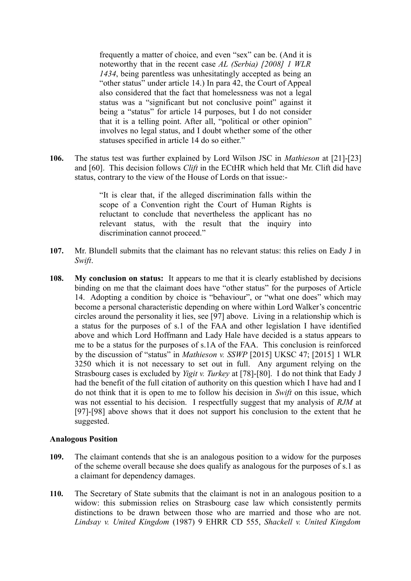frequently a matter of choice, and even "sex" can be. (And it is noteworthy that in the recent case *AL (Serbia) [2008] 1 WLR 1434*, being parentless was unhesitatingly accepted as being an "other status" under article 14.) In para 42, the Court of Appeal also considered that the fact that homelessness was not a legal status was a "significant but not conclusive point" against it being a "status" for article 14 purposes, but I do not consider that it is a telling point. After all, "political or other opinion" involves no legal status, and I doubt whether some of the other statuses specified in article 14 do so either."

**106.** The status test was further explained by Lord Wilson JSC in *Mathieson* at [21]-[23] and [60]. This decision follows *Clift* in the ECtHR which held that Mr. Clift did have status, contrary to the view of the House of Lords on that issue:-

> "It is clear that, if the alleged discrimination falls within the scope of a Convention right the Court of Human Rights is reluctant to conclude that nevertheless the applicant has no relevant status, with the result that the inquiry into discrimination cannot proceed."

- **107.** Mr. Blundell submits that the claimant has no relevant status: this relies on Eady J in *Swift*.
- **108. My conclusion on status:** It appears to me that it is clearly established by decisions binding on me that the claimant does have "other status" for the purposes of Article 14. Adopting a condition by choice is "behaviour", or "what one does" which may become a personal characteristic depending on where within Lord Walker's concentric circles around the personality it lies, see [97] above. Living in a relationship which is a status for the purposes of s.1 of the FAA and other legislation I have identified above and which Lord Hoffmann and Lady Hale have decided is a status appears to me to be a status for the purposes of s.1A of the FAA. This conclusion is reinforced by the discussion of "status" in *Mathieson v. SSWP* [2015] UKSC 47; [2015] 1 WLR 3250 which it is not necessary to set out in full. Any argument relying on the Strasbourg cases is excluded by *Yigit v. Turkey* at [78]-[80]. I do not think that Eady J had the benefit of the full citation of authority on this question which I have had and I do not think that it is open to me to follow his decision in *Swift* on this issue, which was not essential to his decision. I respectfully suggest that my analysis of *RJM* at [97]-[98] above shows that it does not support his conclusion to the extent that he suggested.

## **Analogous Position**

- **109.** The claimant contends that she is an analogous position to a widow for the purposes of the scheme overall because she does qualify as analogous for the purposes of s.1 as a claimant for dependency damages.
- **110.** The Secretary of State submits that the claimant is not in an analogous position to a widow: this submission relies on Strasbourg case law which consistently permits distinctions to be drawn between those who are married and those who are not. *Lindsay v. United Kingdom* (1987) 9 EHRR CD 555, *Shackell v. United Kingdom*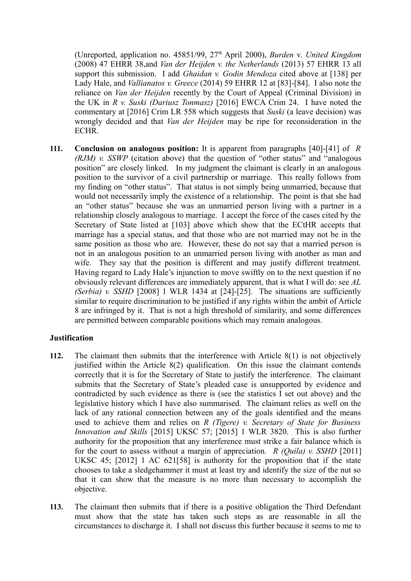(Unreported, application no. 45851/99, 27th April 2000), *Burden* v. *United Kingdom* (2008) 47 EHRR 38,and *Van der Heijden v. the Netherlands* (2013) 57 EHRR 13 all support this submission. I add *Ghaidan v. Godin Mendoza* cited above at [138] per Lady Hale, and *Vallianatos v. Greece* (2014) 59 EHRR 12 at [83]-[84]. I also note the reliance on *Van der Heijden* recently by the Court of Appeal (Criminal Division) in the UK in *R v. Suski (Dariusz Tonmasz)* [2016] EWCA Crim 24. I have noted the commentary at [2016] Crim LR 558 which suggests that *Suski* (a leave decision) was wrongly decided and that *Van der Heijden* may be ripe for reconsideration in the ECHR.

**111. Conclusion on analogous position:** It is apparent from paragraphs [40]-[41] of *R (RJM) v. SSWP* (citation above) that the question of "other status" and "analogous position" are closely linked. In my judgment the claimant is clearly in an analogous position to the survivor of a civil partnership or marriage. This really follows from my finding on "other status". That status is not simply being unmarried, because that would not necessarily imply the existence of a relationship. The point is that she had an "other status" because she was an unmarried person living with a partner in a relationship closely analogous to marriage. I accept the force of the cases cited by the Secretary of State listed at [103] above which show that the ECtHR accepts that marriage has a special status, and that those who are not married may not be in the same position as those who are. However, these do not say that a married person is not in an analogous position to an unmarried person living with another as man and wife. They say that the position is different and may justify different treatment. Having regard to Lady Hale's injunction to move swiftly on to the next question if no obviously relevant differences are immediately apparent, that is what I will do: see *AL (Serbia) v. SSHD* [2008] 1 WLR 1434 at [24]-[25]. The situations are sufficiently similar to require discrimination to be justified if any rights within the ambit of Article 8 are infringed by it. That is not a high threshold of similarity, and some differences are permitted between comparable positions which may remain analogous.

# **Justification**

- **112.** The claimant then submits that the interference with Article 8(1) is not objectively justified within the Article 8(2) qualification. On this issue the claimant contends correctly that it is for the Secretary of State to justify the interference. The claimant submits that the Secretary of State's pleaded case is unsupported by evidence and contradicted by such evidence as there is (see the statistics I set out above) and the legislative history which I have also summarised. The claimant relies as well on the lack of any rational connection between any of the goals identified and the means used to achieve them and relies on *R (Tigere) v. Secretary of State for Business Innovation and Skills* [2015] UKSC 57; [2015] 1 WLR 3820. This is also further authority for the proposition that any interference must strike a fair balance which is for the court to assess without a margin of appreciation. *R (Quila) v. SSHD* [2011] UKSC 45; [2012] 1 AC 621[58] is authority for the proposition that if the state chooses to take a sledgehammer it must at least try and identify the size of the nut so that it can show that the measure is no more than necessary to accomplish the objective.
- **113.** The claimant then submits that if there is a positive obligation the Third Defendant must show that the state has taken such steps as are reasonable in all the circumstances to discharge it. I shall not discuss this further because it seems to me to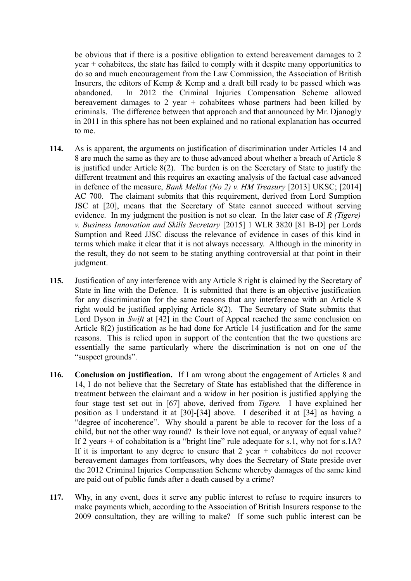be obvious that if there is a positive obligation to extend bereavement damages to 2 year + cohabitees, the state has failed to comply with it despite many opportunities to do so and much encouragement from the Law Commission, the Association of British Insurers, the editors of Kemp & Kemp and a draft bill ready to be passed which was abandoned. In 2012 the Criminal Injuries Compensation Scheme allowed bereavement damages to 2 year + cohabitees whose partners had been killed by criminals. The difference between that approach and that announced by Mr. Djanogly in 2011 in this sphere has not been explained and no rational explanation has occurred to me.

- **114.** As is apparent, the arguments on justification of discrimination under Articles 14 and 8 are much the same as they are to those advanced about whether a breach of Article 8 is justified under Article 8(2). The burden is on the Secretary of State to justify the different treatment and this requires an exacting analysis of the factual case advanced in defence of the measure, *Bank Mellat (No 2) v. HM Treasury* [2013] UKSC; [2014] AC 700. The claimant submits that this requirement, derived from Lord Sumption JSC at [20], means that the Secretary of State cannot succeed without serving evidence. In my judgment the position is not so clear. In the later case of *R (Tigere) v. Business Innovation and Skills Secretary* [2015] 1 WLR 3820 [81 B-D] per Lords Sumption and Reed JJSC discuss the relevance of evidence in cases of this kind in terms which make it clear that it is not always necessary. Although in the minority in the result, they do not seem to be stating anything controversial at that point in their judgment.
- **115.** Justification of any interference with any Article 8 right is claimed by the Secretary of State in line with the Defence. It is submitted that there is an objective justification for any discrimination for the same reasons that any interference with an Article 8 right would be justified applying Article 8(2). The Secretary of State submits that Lord Dyson in *Swift* at [42] in the Court of Appeal reached the same conclusion on Article 8(2) justification as he had done for Article 14 justification and for the same reasons. This is relied upon in support of the contention that the two questions are essentially the same particularly where the discrimination is not on one of the "suspect grounds".
- **116. Conclusion on justification.** If I am wrong about the engagement of Articles 8 and 14, I do not believe that the Secretary of State has established that the difference in treatment between the claimant and a widow in her position is justified applying the four stage test set out in [67] above, derived from *Tigere.* I have explained her position as I understand it at [30]-[34] above. I described it at [34] as having a "degree of incoherence". Why should a parent be able to recover for the loss of a child, but not the other way round? Is their love not equal, or anyway of equal value? If 2 years + of cohabitation is a "bright line" rule adequate for s.1, why not for s.1A? If it is important to any degree to ensure that  $2$  year  $+$  cohabitees do not recover bereavement damages from tortfeasors, why does the Secretary of State preside over the 2012 Criminal Injuries Compensation Scheme whereby damages of the same kind are paid out of public funds after a death caused by a crime?
- **117.** Why, in any event, does it serve any public interest to refuse to require insurers to make payments which, according to the Association of British Insurers response to the 2009 consultation, they are willing to make? If some such public interest can be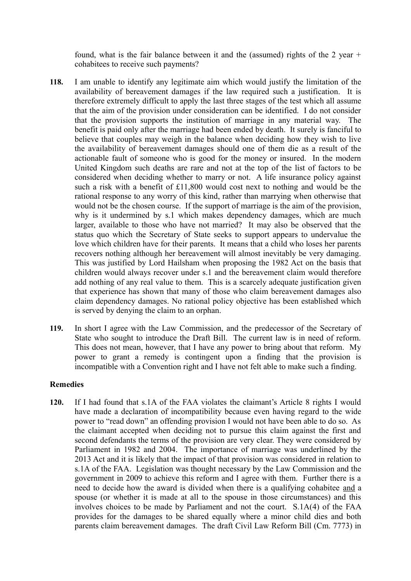found, what is the fair balance between it and the (assumed) rights of the 2 year + cohabitees to receive such payments?

- **118.** I am unable to identify any legitimate aim which would justify the limitation of the availability of bereavement damages if the law required such a justification. It is therefore extremely difficult to apply the last three stages of the test which all assume that the aim of the provision under consideration can be identified. I do not consider that the provision supports the institution of marriage in any material way. The benefit is paid only after the marriage had been ended by death. It surely is fanciful to believe that couples may weigh in the balance when deciding how they wish to live the availability of bereavement damages should one of them die as a result of the actionable fault of someone who is good for the money or insured. In the modern United Kingdom such deaths are rare and not at the top of the list of factors to be considered when deciding whether to marry or not. A life insurance policy against such a risk with a benefit of £11,800 would cost next to nothing and would be the rational response to any worry of this kind, rather than marrying when otherwise that would not be the chosen course. If the support of marriage is the aim of the provision, why is it undermined by s.1 which makes dependency damages, which are much larger, available to those who have not married? It may also be observed that the status quo which the Secretary of State seeks to support appears to undervalue the love which children have for their parents. It means that a child who loses her parents recovers nothing although her bereavement will almost inevitably be very damaging. This was justified by Lord Hailsham when proposing the 1982 Act on the basis that children would always recover under s.1 and the bereavement claim would therefore add nothing of any real value to them. This is a scarcely adequate justification given that experience has shown that many of those who claim bereavement damages also claim dependency damages. No rational policy objective has been established which is served by denying the claim to an orphan.
- **119.** In short I agree with the Law Commission, and the predecessor of the Secretary of State who sought to introduce the Draft Bill. The current law is in need of reform. This does not mean, however, that I have any power to bring about that reform. My power to grant a remedy is contingent upon a finding that the provision is incompatible with a Convention right and I have not felt able to make such a finding.

## **Remedies**

**120.** If I had found that s.1A of the FAA violates the claimant's Article 8 rights I would have made a declaration of incompatibility because even having regard to the wide power to "read down" an offending provision I would not have been able to do so. As the claimant accepted when deciding not to pursue this claim against the first and second defendants the terms of the provision are very clear. They were considered by Parliament in 1982 and 2004. The importance of marriage was underlined by the 2013 Act and it is likely that the impact of that provision was considered in relation to s.1A of the FAA. Legislation was thought necessary by the Law Commission and the government in 2009 to achieve this reform and I agree with them. Further there is a need to decide how the award is divided when there is a qualifying cohabitee and a spouse (or whether it is made at all to the spouse in those circumstances) and this involves choices to be made by Parliament and not the court. S.1A(4) of the FAA provides for the damages to be shared equally where a minor child dies and both parents claim bereavement damages. The draft Civil Law Reform Bill (Cm. 7773) in